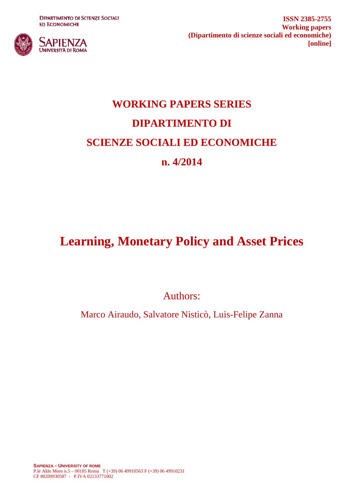**DIPARTIMENTO DI SCIENZE SOCIALI ED ECONOMICHE** 



**ISSN 2385-2755 Working papers (Dipartimento di scienze sociali ed economiche) [online]**

# **WORKING PAPERS SERIES DIPARTIMENTO DI SCIENZE SOCIALI ED ECONOMICHE n. 4/2014**

## **Learning, Monetary Policy and Asset Prices**

Authors:

Marco Airaudo, Salvatore Nisticò, Luis-Felipe Zanna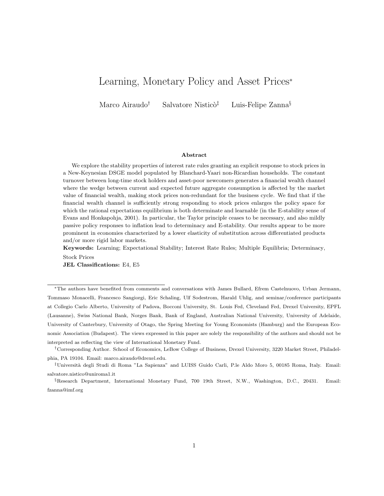## Learning, Monetary Policy and Asset Prices<sup>∗</sup>

Marco Airaudo<sup>†</sup> Salvatore Nisticò<sup>‡</sup> Luis-Felipe Zanna<sup>§</sup>

#### Abstract

We explore the stability properties of interest rate rules granting an explicit response to stock prices in a New-Keynesian DSGE model populated by Blanchard-Yaari non-Ricardian households. The constant turnover between long-time stock holders and asset-poor newcomers generates a financial wealth channel where the wedge between current and expected future aggregate consumption is affected by the market value of financial wealth, making stock prices non-redundant for the business cycle. We find that if the financial wealth channel is sufficiently strong responding to stock prices enlarges the policy space for which the rational expectations equilibrium is both determinate and learnable (in the E-stability sense of Evans and Honkapohja, 2001). In particular, the Taylor principle ceases to be necessary, and also mildly passive policy responses to inflation lead to determinacy and E-stability. Our results appear to be more prominent in economies characterized by a lower elasticity of substitution across differentiated products and/or more rigid labor markets.

Keywords: Learning; Expectational Stability; Interest Rate Rules; Multiple Equilibria; Determinacy,

Stock Prices JEL Classifications: E4, E5

<sup>∗</sup>The authors have benefited from comments and conversations with James Bullard, Efrem Castelnuovo, Urban Jermann, Tommaso Monacelli, Francesco Sangiorgi, Eric Schaling, Ulf Sodestrom, Harald Uhlig, and seminar/conference participants at Collegio Carlo Alberto, University of Padova, Bocconi University, St. Louis Fed, Cleveland Fed, Drexel University, EPFL (Lausanne), Swiss National Bank, Norges Bank, Bank of England, Australian National University, University of Adelaide, University of Canterbury, University of Otago, the Spring Meeting for Young Economists (Hamburg) and the European Economic Association (Budapest). The views expressed in this paper are solely the responsibility of the authors and should not be interpreted as reflecting the view of International Monetary Fund.

†Corresponding Author. School of Economics, LeBow College of Business, Drexel University, 3220 Market Street, Philadelphia, PA 19104. Email: marco.airaudo@drexel.edu.

‡Universit`a degli Studi di Roma "La Sapienza" and LUISS Guido Carli, P.le Aldo Moro 5, 00185 Roma, Italy. Email: salvatore.nistico@uniroma1.it

§Research Department, International Monetary Fund, 700 19th Street, N.W., Washington, D.C., 20431. Email: fzanna@imf.org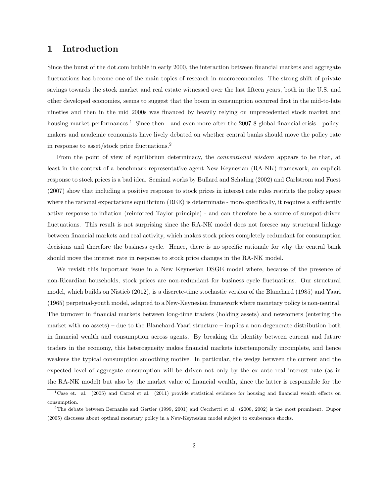## 1 Introduction

Since the burst of the dot.com bubble in early 2000, the interaction between financial markets and aggregate fluctuations has become one of the main topics of research in macroeconomics. The strong shift of private savings towards the stock market and real estate witnessed over the last fifteen years, both in the U.S. and other developed economies, seems to suggest that the boom in consumption occurred first in the mid-to-late nineties and then in the mid 2000s was financed by heavily relying on unprecedented stock market and housing market performances.<sup>1</sup> Since then - and even more after the 2007-8 global financial crisis - policymakers and academic economists have lively debated on whether central banks should move the policy rate in response to asset/stock price fluctuations.<sup>2</sup>

From the point of view of equilibrium determinacy, the *conventional wisdom* appears to be that, at least in the context of a benchmark representative agent New Keynesian (RA-NK) framework, an explicit response to stock prices is a bad idea. Seminal works by Bullard and Schaling (2002) and Carlstrom and Fuest (2007) show that including a positive response to stock prices in interest rate rules restricts the policy space where the rational expectations equilibrium (REE) is determinate - more specifically, it requires a sufficiently active response to inflation (reinforced Taylor principle) - and can therefore be a source of sunspot-driven fluctuations. This result is not surprising since the RA-NK model does not foresee any structural linkage between financial markets and real activity, which makes stock prices completely redundant for consumption decisions and therefore the business cycle. Hence, there is no specific rationale for why the central bank should move the interest rate in response to stock price changes in the RA-NK model.

We revisit this important issue in a New Keynesian DSGE model where, because of the presence of non-Ricardian households, stock prices are non-redundant for business cycle fluctuations. Our structural model, which builds on Nisticò (2012), is a discrete-time stochastic version of the Blanchard (1985) and Yaari (1965) perpetual-youth model, adapted to a New-Keynesian framework where monetary policy is non-neutral. The turnover in financial markets between long-time traders (holding assets) and newcomers (entering the market with no assets) – due to the Blanchard-Yaari structure – implies a non-degenerate distribution both in financial wealth and consumption across agents. By breaking the identity between current and future traders in the economy, this heterogeneity makes financial markets intertemporally incomplete, and hence weakens the typical consumption smoothing motive. In particular, the wedge between the current and the expected level of aggregate consumption will be driven not only by the ex ante real interest rate (as in the RA-NK model) but also by the market value of financial wealth, since the latter is responsible for the

<sup>&</sup>lt;sup>1</sup>Case et. al. (2005) and Carrol et al. (2011) provide statistical evidence for housing and financial wealth effects on consumption.

<sup>2</sup>The debate between Bernanke and Gertler (1999, 2001) and Cecchetti et al. (2000, 2002) is the most prominent. Dupor (2005) discusses about optimal monetary policy in a New-Keynesian model subject to exuberance shocks.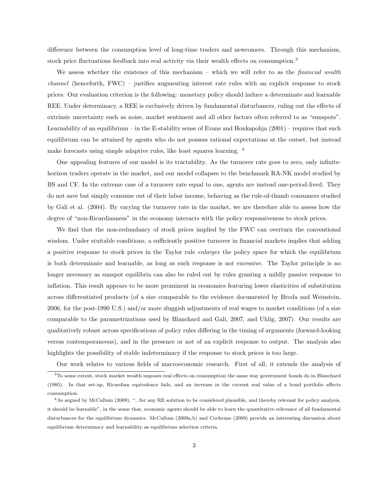difference between the consumption level of long-time traders and newcomers. Through this mechanism, stock price fluctuations feedback into real activity via their wealth effects on consumption.<sup>3</sup>

We assess whether the existence of this mechanism – which we will refer to as the *financial wealth* channel (henceforth, FWC) – justifies augmenting interest rate rules with an explicit response to stock prices. Our evaluation criterion is the following: monetary policy should induce a determinate and learnable REE. Under determinacy, a REE is exclusively driven by fundamental disturbances, ruling out the effects of extrinsic uncertainty such as noise, market sentiment and all other factors often referred to as "sunspots". Learnability of an equilibrium – in the E-stability sense of Evans and Honkapohja (2001) – requires that such equilibrium can be attained by agents who do not possess rational expectations at the outset, but instead make forecasts using simple adaptive rules, like least squares learning. <sup>4</sup>

One appealing features of our model is its tractability. As the turnover rate goes to zero, only infinitehorizon traders operate in the market, and our model collapses to the benchmark RA-NK model studied by BS and CF. In the extreme case of a turnover rate equal to one, agents are instead one-period-lived. They do not save but simply consume out of their labor income, behaving as the rule-of-thumb consumers studied by Gali et al. (2004). By varying the turnover rate in the market, we are therefore able to assess how the degree of "non-Ricardianness" in the economy interacts with the policy responsiveness to stock prices.

We find that the non-redundancy of stock prices implied by the FWC can overturn the conventional wisdom. Under stuitable conditions, a sufficiently positive turnover in financial markets implies that adding a positive response to stock prices in the Taylor rule enlarges the policy space for which the equilibrium is both determinate and learnable, as long as such response is not excessive. The Taylor principle is no longer necessary as sunspot equilibria can also be ruled out by rules granting a mildly passive response to inflation. This result appears to be more prominent in economies featuring lower elasticities of substitution across differentiated products (of a size comparable to the evidence documented by Broda and Weinstein, 2006, for the post-1990 U.S.) and/or more sluggish adjustments of real wages to market conditions (of a size comparable to the parametrizations used by Blanchard and Gali, 2007, and Uhlig, 2007). Our results are qualitatively robust across specifications of policy rules differing in the timing of arguments (forward-looking versus contemporaneous), and in the presence or not of an explicit response to output. The analysis also highlights the possibility of stable indeterminacy if the response to stock prices is too large.

Our work relates to various fields of macroeconomic research. First of all, it extends the analysis of  $3$ To some extent, stock market wealth imposes real effects on consumption the same way government bonds do in Blanchard (1985). In that set-up, Ricardian equivalence fails, and an increase in the current real value of a bond portfolio affects consumption.

<sup>4</sup>As argued by McCallum (2009), "...for any RE solution to be considered plausible, and thereby relevant for policy analysis, it should be learnable", in the sense that, economic agents should be able to learn the quantitative relevance of all fundamental disturbances for the equilibrium dynamics. McCallum (2009a,b) and Cochrane (2009) provide an interesting discussion about equilibrium determinacy and learnability as equilibrium selection criteria.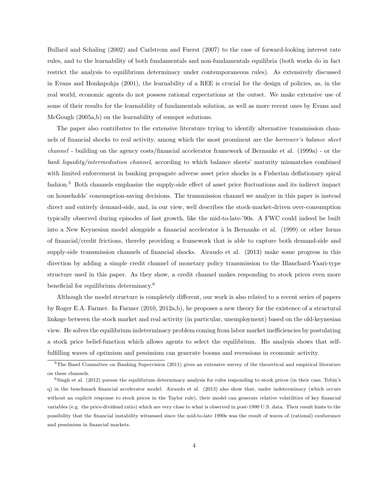Bullard and Schaling (2002) and Carlstrom and Fuerst (2007) to the case of forward-looking interest rate rules, and to the learnability of both fundamentals and non-fundamentals equilibria (both works do in fact restrict the analysis to equilibrium determinacy under contemporaneous rules). As extensively discussed in Evans and Honkapohja (2001), the learnability of a REE is crucial for the design of policies, as, in the real world, economic agents do not possess rational expectations at the outset. We make extensive use of some of their results for the learnability of fundamentals solution, as well as more recent ones by Evans and McGough (2005a,b) on the learnability of sunspot solutions.

The paper also contributes to the extensive literature trying to identify alternative transmission channels of financial shocks to real activity, among which the most prominent are the borrower's balance sheet channel - building on the agency costs/financial accelerator framework of Bernanke et al. (1999a) - or the bank liquidity/intermediation channel, according to which balance sheets' maturity mismatches combined with limited enforcement in banking propagate adverse asset price shocks in a Fisherian deflationary spiral fashion.<sup>5</sup> Both channels emphasize the supply-side effect of asset price fluctuations and its indirect impact on households' consumption-saving decisions. The transmission channel we analyze in this paper is instead direct and entirely demand-side, and, in our view, well describes the stock-market-driven over-consumption typically observed during episodes of fast growth, like the mid-to-late-'90s. A FWC could indeed be built into a New Keynesian model alongside a financial accelerator à la Bernanke et al. (1999) or other forms of financial/credit frictions, thereby providing a framework that is able to capture both demand-side and supply-side transmission channels of financial shocks. Airaudo et al. (2013) make some progress in this direction by adding a simple credit channel of monetary policy transmission to the Blanchard-Yaari-type structure used in this paper. As they show, a credit channel makes responding to stock prices even more beneficial for equilibrium determinacy.<sup>6</sup>

Although the model structure is completely different, our work is also related to a recent series of papers by Roger E.A. Farmer. In Farmer (2010, 2012a,b), he proposes a new theory for the existence of a structural linkage between the stock market and real activity (in particular, unemployment) based on the old-keynesian view. He solves the equilibrium indeterminacy problem coming from labor market inefficiencies by postulating a stock price belief-function which allows agents to select the equilibrium. His analysis shows that selffulfilling waves of optimism and pessimism can generate booms and recessions in economic activity.

 $5$ The Basel Committee on Banking Supervision (2011) gives an extensive survey of the theoretical and empirical literature on these channels.

 $6$ Singh et al. (2012) pursue the equilibrium determinacy analysis for rules responding to stock prices (in their case, Tobin's q) in the benchmark financial accelerator model. Airaudo et al. (2013) also show that, under indeterminacy (which occurs without an explicit response to stock prices in the Taylor rule), their model can generate relative volatilities of key financial variables (e.g. the price-dividend ratio) which are very close to what is observed in post-1990 U.S. data. Their result hints to the possibility that the financial instability witnessed since the mid-to-late 1990s was the result of waves of (rational) exuberance and pessimism in financial markets.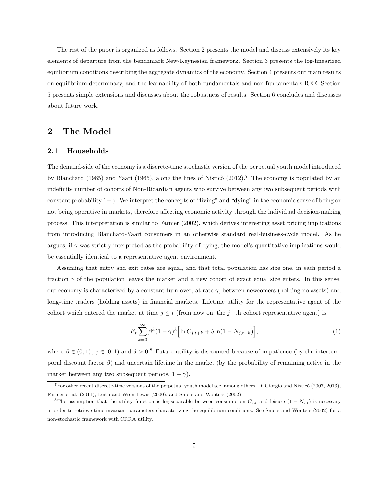The rest of the paper is organized as follows. Section 2 presents the model and discuss extensively its key elements of departure from the benchmark New-Keynesian framework. Section 3 presents the log-linearized equilibrium conditions describing the aggregate dynamics of the economy. Section 4 presents our main results on equilibrium determinacy, and the learnability of both fundamentals and non-fundamentals REE. Section 5 presents simple extensions and discusses about the robustness of results. Section 6 concludes and discusses about future work.

## 2 The Model

## 2.1 Households

The demand-side of the economy is a discrete-time stochastic version of the perpetual youth model introduced by Blanchard (1985) and Yaari (1965), along the lines of Nisticò (2012).<sup>7</sup> The economy is populated by an indefinite number of cohorts of Non-Ricardian agents who survive between any two subsequent periods with constant probability  $1-\gamma$ . We interpret the concepts of "living" and "dying" in the economic sense of being or not being operative in markets, therefore affecting economic activity through the individual decision-making process. This interpretation is similar to Farmer (2002), which derives interesting asset pricing implications from introducing Blanchard-Yaari consumers in an otherwise standard real-business-cycle model. As he argues, if  $\gamma$  was strictly interpreted as the probability of dying, the model's quantitative implications would be essentially identical to a representative agent environment.

Assuming that entry and exit rates are equal, and that total population has size one, in each period a fraction  $\gamma$  of the population leaves the market and a new cohort of exact equal size enters. In this sense, our economy is characterized by a constant turn-over, at rate  $\gamma$ , between newcomers (holding no assets) and long-time traders (holding assets) in financial markets. Lifetime utility for the representative agent of the cohort which entered the market at time  $j \leq t$  (from now on, the j–th cohort representative agent) is

$$
E_t \sum_{k=0}^{\infty} \beta^k (1-\gamma)^k \left[ \ln C_{j,t+k} + \delta \ln(1 - N_{j,t+k}) \right],\tag{1}
$$

where  $\beta \in (0,1)$ ,  $\gamma \in [0,1)$  and  $\delta > 0$ .<sup>8</sup> Future utility is discounted because of impatience (by the intertemporal discount factor  $\beta$ ) and uncertain lifetime in the market (by the probability of remaining active in the market between any two subsequent periods,  $1 - \gamma$ ).

 $7$ For other recent discrete-time versions of the perpetual youth model see, among others, Di Giorgio and Nisticó (2007, 2013), Farmer et al. (2011), Leith and Wren-Lewis (2000), and Smets and Wouters (2002).

<sup>&</sup>lt;sup>8</sup>The assumption that the utility function is log-separable between consumption  $C_{j,t}$  and leisure  $(1 - N_{j,t})$  is necessary in order to retrieve time-invariant parameters characterizing the equilibrium conditions. See Smets and Wouters (2002) for a non-stochastic framework with CRRA utility.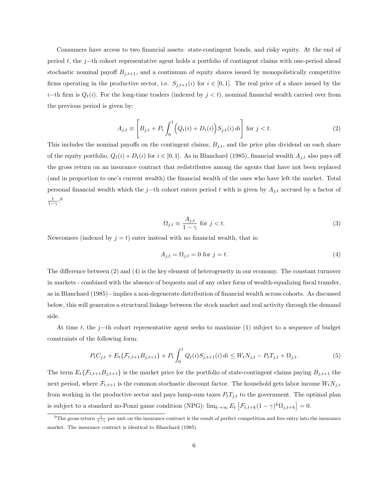Consumers have access to two financial assets: state-contingent bonds, and risky equity. At the end of period t, the j−th cohort representative agent holds a portfolio of contingent claims with one-period ahead stochastic nominal payoff  $B_{j,t+1}$ , and a continuum of equity shares issued by monopolistically competitive firms operating in the productive sector, i.e.  $S_{j,t+1}(i)$  for  $i \in [0,1]$ . The real price of a share issued by the i−th firm is  $Q_t(i)$ . For the long-time traders (indexed by  $j < t$ ), nominal financial wealth carried over from the previous period is given by:

$$
A_{j,t} \equiv \left[ B_{j,t} + P_t \int_0^1 \left( Q_t(i) + D_t(i) \right) S_{j,t}(i) \, di \right] \text{ for } j < t. \tag{2}
$$

This includes the nominal payoffs on the contingent claims,  $B_{j,t}$ , and the price plus dividend on each share of the equity portfolio,  $Q_t(i) + D_t(i)$  for  $i \in [0,1]$ . As in Blanchard (1985), financial wealth  $A_{j,t}$  also pays off the gross return on an insurance contract that redistributes among the agents that have not been replaced (and in proportion to one's current wealth) the financial wealth of the ones who have left the market. Total personal financial wealth which the j−th cohort enters period t with is given by  $A_{j,t}$  accrued by a factor of  $\frac{1}{1-\gamma}$ :<sup>9</sup>

$$
\Omega_{j,t} \equiv \frac{A_{j,t}}{1-\gamma} \text{ for } j < t. \tag{3}
$$

Newcomers (indexed by  $j = t$ ) enter instead with no financial wealth, that is:

$$
A_{j,t} = \Omega_{j,t} = 0 \text{ for } j = t.
$$
\n<sup>(4)</sup>

The difference between (2) and (4) is the key element of heterogeneity in our economy. The constant turnover in markets - combined with the absence of bequests and of any other form of wealth-equalizing fiscal transfer, as in Blanchard (1985) - implies a non-degenerate distribution of financial wealth across cohorts. As discussed below, this will generates a structural linkage between the stock market and real activity through the demand side.

At time t, the j−th cohort representative agent seeks to maximize (1) subject to a sequence of budget constraints of the following form:

$$
P_t C_{j,t} + E_t \{ \mathcal{F}_{t,t+1} B_{j,t+1} \} + P_t \int_0^1 Q_t(i) S_{j,t+1}(i) \, di \le W_t N_{j,t} - P_t T_{j,t} + \Omega_{j,t}.
$$
 (5)

The term  $E_t{\{\mathcal{F}_{t,t+1}B_{j,t+1}\}}$  is the market price for the portfolio of state-contingent claims paying  $B_{j,t+1}$  the next period, where  $\mathcal{F}_{t,t+1}$  is the common stochastic discount factor. The household gets labor income  $W_tN_{j,t}$ from working in the productive sector and pays lump-sum taxes  $P_tT_{j,t}$  to the government. The optimal plan is subject to a standard no-Ponzi game condition (NPG):  $\lim_{k\to\infty} E_t \left[ \mathcal{F}_{t,t+k} (1-\gamma)^k \Omega_{j,t+k} \right] = 0.$ 

<sup>&</sup>lt;sup>9</sup>The gross return  $\frac{1}{1-\gamma}$  per unit on the insurance contract is the result of perfect competition and free entry into the insurance market. The insurance contract is identical to Blanchard (1985).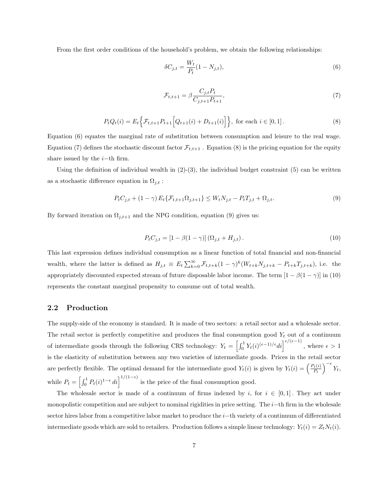From the first order conditions of the household's problem, we obtain the following relationships:

$$
\delta C_{j,t} = \frac{W_t}{P_t} (1 - N_{j,t}),
$$
\n(6)

$$
\mathcal{F}_{t,t+1} = \beta \frac{C_{j,t} P_t}{C_{j,t+1} P_{t+1}},\tag{7}
$$

$$
P_t Q_t(i) = E_t \Big\{ \mathcal{F}_{t,t+1} P_{t+1} \Big[ Q_{t+1}(i) + D_{t+1}(i) \Big] \Big\}, \text{ for each } i \in [0,1].
$$
 (8)

Equation (6) equates the marginal rate of substitution between consumption and leisure to the real wage. Equation (7) defines the stochastic discount factor  $\mathcal{F}_{t,t+1}$ . Equation (8) is the pricing equation for the equity share issued by the  $i$ −th firm.

Using the definition of individual wealth in  $(2)-(3)$ , the individual budget constraint  $(5)$  can be written as a stochastic difference equation in  $\Omega_{j,t}$ :

$$
P_t C_{j,t} + (1 - \gamma) E_t \{ \mathcal{F}_{t,t+1} \Omega_{j,t+1} \} \le W_t N_{j,t} - P_t T_{j,t} + \Omega_{j,t}.
$$
\n(9)

By forward iteration on  $\Omega_{j,t+1}$  and the NPG condition, equation (9) gives us:

$$
P_t C_{j,t} = [1 - \beta(1 - \gamma)] (\Omega_{j,t} + H_{j,t}). \tag{10}
$$

This last expression defines individual consumption as a linear function of total financial and non-financial wealth, where the latter is defined as  $H_{j,t} \equiv E_t \sum_{k=0}^{\infty} \mathcal{F}_{t,t+k} (1-\gamma)^k (W_{t+k} N_{j,t+k} - P_{t+k} T_{j,t+k}),$  i.e. the appropriately discounted expected stream of future disposable labor income. The term  $[1 - \beta(1 - \gamma)]$  in (10) represents the constant marginal propensity to consume out of total wealth.

#### 2.2 Production

The supply-side of the economy is standard. It is made of two sectors: a retail sector and a wholesale sector. The retail sector is perfectly competitive and produces the final consumption good  $Y_t$  out of a continuum of intermediate goods through the following CRS technology:  $Y_t = \left[\int_0^1 Y_t(i)^{(\epsilon-1)/\epsilon} di\right]^{\epsilon/(\epsilon-1)}$ , where  $\epsilon > 1$ is the elasticity of substitution between any two varieties of intermediate goods. Prices in the retail sector are perfectly flexible. The optimal demand for the intermediate good  $Y_t(i)$  is given by  $Y_t(i) = \left(\frac{P_t(i)}{P_t}\right)^{1/2}$  $\frac{P_t(i)}{P_t}\Big)^{-\epsilon} Y_t,$ while  $P_t = \left[\int_0^1 P_t(i)^{1-\epsilon} di\right]^{1/(1-\epsilon)}$  is the price of the final consumption good.

The wholesale sector is made of a continuum of firms indexed by i, for  $i \in [0,1]$ . They act under monopolistic competition and are subject to nominal rigidities in price setting. The  $i$ −th firm in the wholesale sector hires labor from a competitive labor market to produce the i–th variety of a continuum of differentiated intermediate goods which are sold to retailers. Production follows a simple linear technology:  $Y_t(i) = Z_t N_t(i)$ .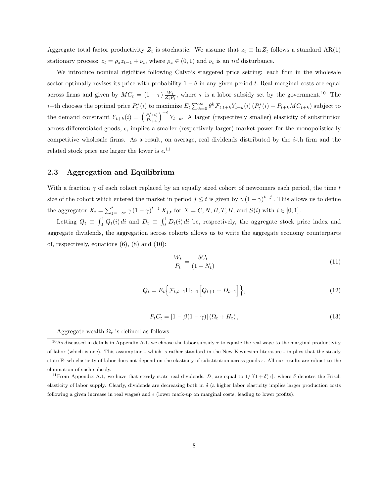Aggregate total factor productivity  $Z_t$  is stochastic. We assume that  $z_t \equiv \ln Z_t$  follows a standard AR(1) stationary process:  $z_t = \rho_z z_{t-1} + \nu_t$ , where  $\rho_z \in (0,1)$  and  $\nu_t$  is an *iid* disturbance.

We introduce nominal rigidities following Calvo's staggered price setting: each firm in the wholesale sector optimally revises its price with probability  $1 - \theta$  in any given period t. Real marginal costs are equal across firms and given by  $MC_t = (1 - \tau) \frac{W_t}{Z_t P_t}$ , where  $\tau$  is a labor subsidy set by the government.<sup>10</sup> The *i*−th chooses the optimal price  $P_t^*(i)$  to maximize  $E_t \sum_{k=0}^{\infty} \theta^k \mathcal{F}_{t,t+k} Y_{t+k}(i) (P_t^*(i) - P_{t+k}MC_{t+k})$  subject to the demand constraint  $Y_{t+k}(i) = \left(\frac{P_t^*(i)}{P_{t+k}}\right)$  $\frac{P_k^*(i)}{P_{k+k}}\Big)^{-\epsilon} Y_{t+k}$ . A larger (respectively smaller) elasticity of substitution across differentiated goods,  $\epsilon$ , implies a smaller (respectively larger) market power for the monopolistically competitive wholesale firms. As a result, on average, real dividends distributed by the  $i$ -th firm and the related stock price are larger the lower is  $\epsilon$ .<sup>11</sup>

## 2.3 Aggregation and Equilibrium

With a fraction  $\gamma$  of each cohort replaced by an equally sized cohort of newcomers each period, the time t size of the cohort which entered the market in period  $j \leq t$  is given by  $\gamma (1 - \gamma)^{t-j}$ . This allows us to define the aggregator  $X_t = \sum_{j=-\infty}^t \gamma (1-\gamma)^{t-j} X_{j,t}$  for  $X = C, N, B, T, H$ , and  $S(i)$  with  $i \in [0,1]$ .

Letting  $Q_t \equiv \int_0^1 Q_t(i) di$  and  $D_t \equiv \int_0^1 D_t(i) di$  be, respectively, the aggregate stock price index and aggregate dividends, the aggregation across cohorts allows us to write the aggregate economy counterparts of, respectively, equations  $(6)$ ,  $(8)$  and  $(10)$ :

$$
\frac{W_t}{P_t} = \frac{\delta C_t}{(1 - N_t)}\tag{11}
$$

$$
Q_t = E_t \Big\{ \mathcal{F}_{t,t+1} \Pi_{t+1} \Big[ Q_{t+1} + D_{t+1} \Big] \Big\},\tag{12}
$$

$$
P_t C_t = \left[1 - \beta(1 - \gamma)\right](\Omega_t + H_t),\tag{13}
$$

Aggregate wealth  $\Omega_t$  is defined as follows:

<sup>&</sup>lt;sup>10</sup>As discussed in details in Appendix A.1, we choose the labor subsidy  $\tau$  to equate the real wage to the marginal productivity of labor (which is one). This assumption - which is rather standard in the New Keynesian literature - implies that the steady state Frisch elasticity of labor does not depend on the elasticity of substitution across goods  $\epsilon$ . All our results are robust to the elimination of such subsidy.

<sup>&</sup>lt;sup>11</sup> From Appendix A.1, we have that steady state real dividends, D, are equal to  $1/[(1+\delta)\epsilon]$ , where  $\delta$  denotes the Frisch elasticity of labor supply. Clearly, dividends are decreasing both in  $\delta$  (a higher labor elasticity implies larger production costs following a given increase in real wages) and  $\epsilon$  (lower mark-up on marginal costs, leading to lower profits).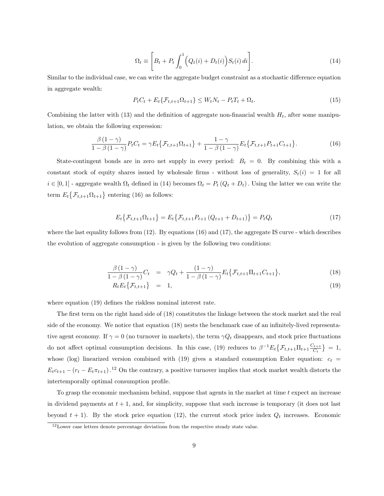$$
\Omega_t \equiv \left[ B_t + P_t \int_0^1 \left( Q_t(i) + D_t(i) \right) S_t(i) \, di \right]. \tag{14}
$$

Similar to the individual case, we can write the aggregate budget constraint as a stochastic difference equation in aggregate wealth:

$$
P_t C_t + E_t \{ \mathcal{F}_{t,t+1} \Omega_{t+1} \} \le W_t N_t - P_t T_t + \Omega_t.
$$
\n(15)

Combining the latter with (13) and the definition of aggregate non-financial wealth  $H_t$ , after some manipulation, we obtain the following expression:

$$
\frac{\beta(1-\gamma)}{1-\beta(1-\gamma)}P_{t}C_{t} = \gamma E_{t} \{ \mathcal{F}_{t,t+1} \Omega_{t+1} \} + \frac{1-\gamma}{1-\beta(1-\gamma)} E_{t} \{ \mathcal{F}_{t,t+1} P_{t+1} C_{t+1} \}.
$$
(16)

State-contingent bonds are in zero net supply in every period:  $B_t = 0$ . By combining this with a constant stock of equity shares issued by wholesale firms - without loss of generality,  $S_t(i) = 1$  for all  $i \in [0,1]$  - aggregate wealth  $\Omega_t$  defined in (14) becomes  $\Omega_t = P_t (Q_t + D_t)$ . Using the latter we can write the term  $E_t\{\mathcal{F}_{t,t+1}\Omega_{t+1}\}\$ entering (16) as follows:

$$
E_t\{\mathcal{F}_{t,t+1}\Omega_{t+1}\} = E_t\{\mathcal{F}_{t,t+1}P_{t+1}\left(Q_{t+1} + D_{t+1}\right)\} = P_tQ_t
$$
\n(17)

where the last equality follows from  $(12)$ . By equations  $(16)$  and  $(17)$ , the aggregate IS curve - which describes the evolution of aggregate consumption - is given by the following two conditions:

$$
\frac{\beta(1-\gamma)}{1-\beta(1-\gamma)}C_t = \gamma Q_t + \frac{(1-\gamma)}{1-\beta(1-\gamma)}E_t\{\mathcal{F}_{t,t+1}\Pi_{t+1}C_{t+1}\},\tag{18}
$$

$$
R_t E_t \big\{ \mathcal{F}_{t,t+1} \big\} = 1, \tag{19}
$$

where equation (19) defines the riskless nominal interest rate.

The first term on the right hand side of (18) constitutes the linkage between the stock market and the real side of the economy. We notice that equation (18) nests the benchmark case of an infinitely-lived representative agent economy. If  $\gamma = 0$  (no turnover in markets), the term  $\gamma Q_t$  disappears, and stock price fluctuations do not affect optimal consumption decisions. In this case, (19) reduces to  $\beta^{-1} E_t \{ \mathcal{F}_{t,t+1} \Pi_{t+1} \frac{C_{t+1}}{C_t} \}$  $\frac{C_{t+1}}{C_t}$  = 1, whose (log) linearized version combined with (19) gives a standard consumption Euler equation:  $c_t$  =  $E_t c_{t+1} - (r_t - E_t \pi_{t+1})$ .<sup>12</sup> On the contrary, a positive turnover implies that stock market wealth distorts the intertemporally optimal consumption profile.

To grasp the economic mechanism behind, suppose that agents in the market at time t expect an increase in dividend payments at  $t + 1$ , and, for simplicity, suppose that such increase is temporary (it does not last beyond  $t + 1$ ). By the stock price equation (12), the current stock price index  $Q_t$  increases. Economic

 $12$ Lower case letters denote percentage deviations from the respective steady state value.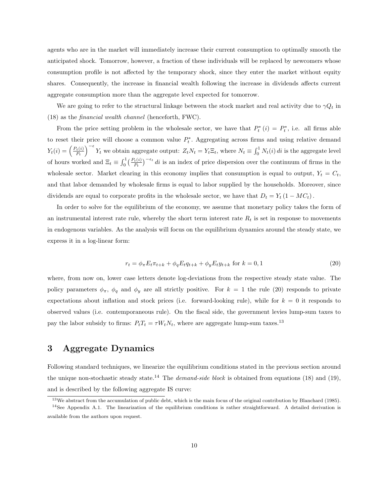agents who are in the market will immediately increase their current consumption to optimally smooth the anticipated shock. Tomorrow, however, a fraction of these individuals will be replaced by newcomers whose consumption profile is not affected by the temporary shock, since they enter the market without equity shares. Consequently, the increase in financial wealth following the increase in dividends affects current aggregate consumption more than the aggregate level expected for tomorrow.

We are going to refer to the structural linkage between the stock market and real activity due to  $\gamma Q_t$  in (18) as the financial wealth channel (henceforth, FWC).

From the price setting problem in the wholesale sector, we have that  $P_t^*(i) = P_t^*$ , i.e. all firms able to reset their price will choose a common value  $P_t^*$ . Aggregating across firms and using relative demand  $Y_t(i) = \left(\frac{P_t(i)}{P_t}\right)$  $\frac{P_t(i)}{P_t}$   $\Big)^{-\epsilon} Y_t$  we obtain aggregate output:  $Z_t N_t = Y_t \Xi_t$ , where  $N_t \equiv \int_0^1 N_t(i) di$  is the aggregate level of hours worked and  $\Xi_t \equiv \int_0^1 \left(\frac{P_t(i)}{P_t}\right)^{-\epsilon_t} di$  is an index of price dispersion over the continuum of firms in the wholesale sector. Market clearing in this economy implies that consumption is equal to output,  $Y_t = C_t$ , and that labor demanded by wholesale firms is equal to labor supplied by the households. Moreover, since dividends are equal to corporate profits in the wholesale sector, we have that  $D_t = Y_t (1 - MC_t)$ .

In order to solve for the equilibrium of the economy, we assume that monetary policy takes the form of an instrumental interest rate rule, whereby the short term interest rate  $R_t$  is set in response to movements in endogenous variables. As the analysis will focus on the equilibrium dynamics around the steady state, we express it in a log-linear form:

$$
r_t = \phi_\pi E_t \pi_{t+k} + \phi_q E_t q_{t+k} + \phi_y E_t y_{t+k} \text{ for } k = 0, 1 \tag{20}
$$

where, from now on, lower case letters denote log-deviations from the respective steady state value. The policy parameters  $\phi_{\pi}$ ,  $\phi_q$  and  $\phi_y$  are all strictly positive. For  $k = 1$  the rule (20) responds to private expectations about inflation and stock prices (i.e. forward-looking rule), while for  $k = 0$  it responds to observed values (i.e. contemporaneous rule). On the fiscal side, the government levies lump-sum taxes to pay the labor subsidy to firms:  $P_tT_t = \tau W_tN_t$ , where are aggregate lump-sum taxes.<sup>13</sup>

## 3 Aggregate Dynamics

Following standard techniques, we linearize the equilibrium conditions stated in the previous section around the unique non-stochastic steady state.<sup>14</sup> The *demand-side block* is obtained from equations (18) and (19), and is described by the following aggregate IS curve:

 $13\,\text{We abstract from the accumulation of public debt, which is the main focus of the original contribution by Blanchard (1985).}$  $14$ See Appendix A.1. The linearization of the equilibrium conditions is rather straightforward. A detailed derivation is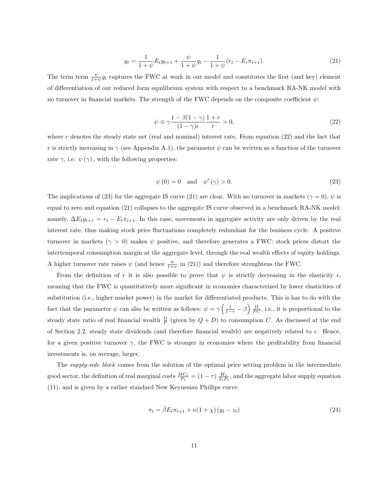$$
y_t = \frac{1}{1+\psi} E_t y_{t+1} + \frac{\psi}{1+\psi} q_t - \frac{1}{1+\psi} (r_t - E_t \pi_{t+1}).
$$
\n(21)

The term term  $\frac{\psi}{1+\psi}q_t$  captures the FWC at work in our model and constitutes the first (and key) element of differentiation of our reduced form equilibrium system with respect to a benchmark RA-NK model with no turnover in financial markets. The strength of the FWC depends on the composite coefficient  $\psi$ :

$$
\psi \equiv \gamma \frac{1 - \beta(1 - \gamma)}{(1 - \gamma)\epsilon} \frac{1 + r}{r} > 0,
$$
\n(22)

where  $r$  denotes the steady state net (real and nominal) interest rate. From equation (22) and the fact that r is strictly increasing in  $\gamma$  (see Appendix A.1), the parameter  $\psi$  can be written as a function of the turnover rate  $\gamma$ , i.e.  $\psi(\gamma)$ , with the following properties:

$$
\psi(0) = 0 \quad \text{and} \quad \psi'(\gamma) > 0. \tag{23}
$$

The implications of (23) for the aggregate IS curve (21) are clear. With no turnover in markets ( $\gamma = 0$ ),  $\psi$  is equal to zero and equation (21) collapses to the aggregate IS curve observed in a benchmark RA-NK model: namely,  $\Delta E_t y_{t+1} = r_t - E_t \pi_{t+1}$ . In this case, movements in aggregate activity are only driven by the real interest rate, thus making stock price fluctuations completely redundant for the business cycle. A positive turnover in markets ( $\gamma > 0$ ) makes  $\psi$  positive, and therefore generates a FWC: stock prices distort the intertemporal consumption margin at the aggregate level, through the real wealth effects of equity holdings. A higher turnover rate raises  $\psi$  (and hence  $\frac{\psi}{1+\psi}$  in (21)) and therefore strenghtens the FWC.

From the definition of r it is also possible to prove that  $\psi$  is strictly decreasing in the elasticity  $\epsilon$ , meaning that the FWC is quantitatively more significant in economies characterized by lower elasticities of substitution (i.e., higher market power) in the market for differentiated products. This is has to do with the fact that the parameter  $\psi$  can also be written as follows:  $\psi = \gamma \left( \frac{1}{1-\gamma} - \beta \right) \frac{\Omega}{PC}$ , i.e., it is proportional to the steady state ratio of real financial wealth  $\frac{\Omega}{P}$  (given by  $Q + D$ ) to consumption C. As discussed at the end of Section 2.2, steady state dividends (and therefore financial wealth) are negatively related to  $\epsilon$ . Hence, for a given positive turnover  $\gamma$ , the FWC is stronger in economies where the profitability from financial investments is, on average, larger.

The supply-side block comes from the solution of the optimal price setting problem in the intermediate good sector, the definition of real marginal costs  $\frac{MC_t}{P_t} = (1 - \tau) \frac{W_t}{Z_t P_t}$ , and the aggregate labor supply equation (11), and is given by a rather standard New Keynesian Phillips curve:

$$
\pi_t = \tilde{\beta} E_t \pi_{t+1} + \kappa (1 + \chi) (y_t - z_t)
$$
\n(24)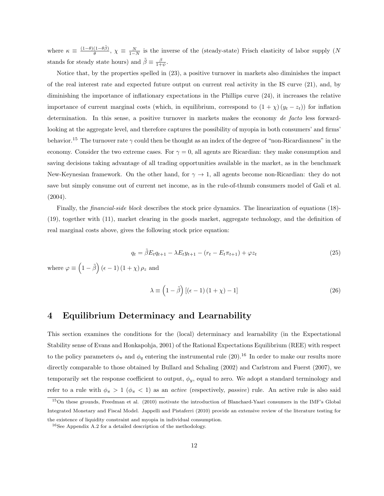where  $\kappa \equiv \frac{(1-\theta)(1-\theta\tilde{\beta})}{\theta}$  $\frac{(1-\theta\beta)}{\theta}$ ,  $\chi \equiv \frac{N}{1-N}$  is the inverse of the (steady-state) Frisch elasticity of labor supply (N stands for steady state hours) and  $\tilde{\beta} \equiv \frac{\beta}{1+\psi}$ .

Notice that, by the properties spelled in (23), a positive turnover in markets also diminishes the impact of the real interest rate and expected future output on current real activity in the IS curve (21), and, by diminishing the importance of inflationary expectations in the Phillips curve (24), it increases the relative importance of current marginal costs (which, in equilibrium, correspond to  $(1 + \chi)(y_t - z_t)$ ) for inflation determination. In this sense, a positive turnover in markets makes the economy de facto less forwardlooking at the aggregate level, and therefore captures the possibility of myopia in both consumers' and firms' behavior.<sup>15</sup> The turnover rate  $\gamma$  could then be thought as an index of the degree of "non-Ricardianness" in the economy. Consider the two extreme cases. For  $\gamma = 0$ , all agents are Ricardian: they make consumption and saving decisions taking advantage of all trading opportunities available in the market, as in the benchmark New-Keynesian framework. On the other hand, for  $\gamma \to 1$ , all agents become non-Ricardian: they do not save but simply consume out of current net income, as in the rule-of-thumb consumers model of Gali et al. (2004).

Finally, the financial-side block describes the stock price dynamics. The linearization of equations (18)- (19), together with (11), market clearing in the goods market, aggregate technology, and the definition of real marginal costs above, gives the following stock price equation:

$$
q_t = \tilde{\beta} E_t q_{t+1} - \lambda E_t y_{t+1} - (r_t - E_t \pi_{t+1}) + \varphi z_t
$$
\n(25)

where  $\varphi \equiv \left(1 - \tilde{\beta}\right) \left(\epsilon - 1\right) \left(1 + \chi\right) \rho_z$  and

$$
\lambda \equiv \left(1 - \tilde{\beta}\right) \left[\left(\epsilon - 1\right)\left(1 + \chi\right) - 1\right] \tag{26}
$$

## 4 Equilibrium Determinacy and Learnability

This section examines the conditions for the (local) determinacy and learnability (in the Expectational Stability sense of Evans and Honkapohja, 2001) of the Rational Expectations Equilibrium (REE) with respect to the policy parameters  $\phi_{\pi}$  and  $\phi_q$  entering the instrumental rule (20).<sup>16</sup> In order to make our results more directly comparable to those obtained by Bullard and Schaling (2002) and Carlstrom and Fuerst (2007), we temporarily set the response coefficient to output,  $\phi_y$ , equal to zero. We adopt a standard terminology and refer to a rule with  $\phi_{\pi} > 1$  ( $\phi_{\pi} < 1$ ) as an *active* (respectively, *passive*) rule. An active rule is also said

<sup>15</sup>On these grounds, Freedman et al. (2010) motivate the introduction of Blanchard-Yaari consumers in the IMF's Global Integrated Monetary and Fiscal Model. Jappelli and Pistaferri (2010) provide an extensive review of the literature testing for the existence of liquidity constraint and myopia in individual consumption.

<sup>16</sup>See Appendix A.2 for a detailed description of the methodology.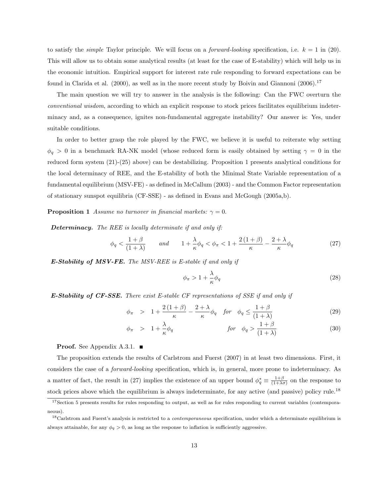to satisfy the *simple* Taylor principle. We will focus on a *forward-looking* specification, i.e.  $k = 1$  in (20). This will allow us to obtain some analytical results (at least for the case of E-stability) which will help us in the economic intuition. Empirical support for interest rate rule responding to forward expectations can be found in Clarida et al. (2000), as well as in the more recent study by Boivin and Giannoni (2006).<sup>17</sup>

The main question we will try to answer in the analysis is the following: Can the FWC overturn the conventional wisdom, according to which an explicit response to stock prices facilitates equilibrium indeterminacy and, as a consequence, ignites non-fundamental aggregate instability? Our answer is: Yes, under suitable conditions.

In order to better grasp the role played by the FWC, we believe it is useful to reiterate why setting  $\phi_q$  > 0 in a benchmark RA-NK model (whose reduced form is easily obtained by setting  $\gamma = 0$  in the reduced form system (21)-(25) above) can be destabilizing. Proposition 1 presents analytical conditions for the local determinacy of REE, and the E-stability of both the Minimal State Variable representation of a fundamental equilibrium (MSV-FE) - as defined in McCallum (2003) - and the Common Factor representation of stationary sunspot equilibria (CF-SSE) - as defined in Evans and McGough (2005a,b).

**Proposition 1** Assume no turnover in financial markets:  $\gamma = 0$ .

Determinacy. The REE is locally determinate if and only if:

$$
\phi_q < \frac{1+\beta}{(1+\lambda)} \qquad \text{and} \qquad 1 + \frac{\lambda}{\kappa} \phi_q < \phi_\pi < 1 + \frac{2\left(1+\beta\right)}{\kappa} - \frac{2+\lambda}{\kappa} \phi_q \tag{27}
$$

 $E$ -Stability of MSV-FE. The MSV-REE is E-stable if and only if

$$
\phi_{\pi} > 1 + \frac{\lambda}{\kappa} \phi_q \tag{28}
$$

E-Stability of CF-SSE. There exist E-stable CF representations of SSE if and only if

$$
\phi_{\pi} > 1 + \frac{2(1+\beta)}{\kappa} - \frac{2+\lambda}{\kappa} \phi_q \quad \text{for} \quad \phi_q \le \frac{1+\beta}{(1+\lambda)}
$$
 (29)

$$
\phi_{\pi} > 1 + \frac{\lambda}{\kappa} \phi_q \qquad \qquad \text{for} \quad \phi_q > \frac{1+\beta}{(1+\lambda)} \tag{30}
$$

**Proof.** See Appendix A.3.1. ■

The proposition extends the results of Carlstrom and Fuerst (2007) in at least two dimensions. First, it considers the case of a forward-looking specification, which is, in general, more prone to indeterminacy. As a matter of fact, the result in (27) implies the existence of an upper bound  $\phi_q^* \equiv \frac{1+\beta}{(1+\lambda\sigma)}$  on the response to stock prices above which the equilibrium is always indeterminate, for any active (and passive) policy rule.<sup>18</sup>

<sup>&</sup>lt;sup>17</sup>Section 5 presents results for rules responding to output, as well as for rules responding to current variables (contemporaneous).

 $18$ Carlstrom and Fuerst's analysis is restricted to a *contemporaneous* specification, under which a determinate equilibrium is always attainable, for any  $\phi_q > 0$ , as long as the response to inflation is sufficiently aggressive.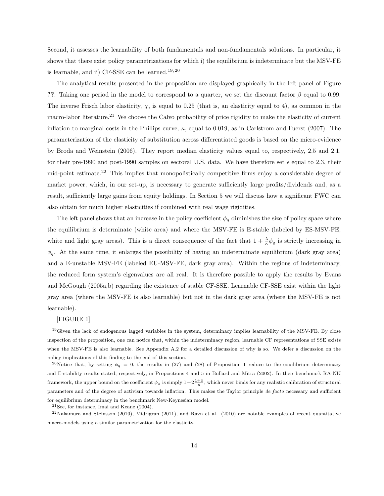Second, it assesses the learnability of both fundamentals and non-fundamentals solutions. In particular, it shows that there exist policy parametrizations for which i) the equilibrium is indeterminate but the MSV-FE is learnable, and ii) CF-SSE can be learned.<sup>19,20</sup>

The analytical results presented in the proposition are displayed graphically in the left panel of Figure ??. Taking one period in the model to correspond to a quarter, we set the discount factor  $\beta$  equal to 0.99. The inverse Frisch labor elasticity,  $\chi$ , is equal to 0.25 (that is, an elasticity equal to 4), as common in the macro-labor literature.<sup>21</sup> We choose the Calvo probability of price rigidity to make the elasticity of current inflation to marginal costs in the Phillips curve,  $\kappa$ , equal to 0.019, as in Carlstrom and Fuerst (2007). The parameterization of the elasticity of substitution across differentiated goods is based on the micro-evidence by Broda and Weinstein (2006). They report median elasticity values equal to, respectively, 2.5 and 2.1. for their pre-1990 and post-1990 samples on sectoral U.S. data. We have therefore set  $\epsilon$  equal to 2.3, their mid-point estimate.<sup>22</sup> This implies that monopolistically competitive firms enjoy a considerable degree of market power, which, in our set-up, is necessary to generate sufficiently large profits/dividends and, as a result, sufficiently large gains from equity holdings. In Section 5 we will discuss how a significant FWC can also obtain for much higher elasticities if combined with real wage rigidities.

The left panel shows that an increase in the policy coefficient  $\phi_q$  diminishes the size of policy space where the equilibrium is determinate (white area) and where the MSV-FE is E-stable (labeled by ES-MSV-FE, white and light gray areas). This is a direct consequence of the fact that  $1 + \frac{\lambda}{\kappa} \phi_q$  is strictly increasing in  $\phi_q$ . At the same time, it enlarges the possibility of having an indeterminate equilibrium (dark gray area) and a E-unstable MSV-FE (labeled EU-MSV-FE, dark gray area). Within the regions of indeterminacy, the reduced form system's eigenvalues are all real. It is therefore possible to apply the results by Evans and McGough (2005a,b) regarding the existence of stable CF-SSE. Learnable CF-SSE exist within the light gray area (where the MSV-FE is also learnable) but not in the dark gray area (where the MSV-FE is not learnable).

[FIGURE 1]

 $19$  Given the lack of endogenous lagged variables in the system, determinacy implies learnability of the MSV-FE. By close inspection of the proposition, one can notice that, within the indeterminacy region, learnable CF representations of SSE exists when the MSV-FE is also learnable. See Appendix A.2 for a detailed discussion of why is so. We defer a discussion on the policy implications of this finding to the end of this section.

<sup>&</sup>lt;sup>20</sup>Notice that, by setting  $\phi_q = 0$ , the results in (27) and (28) of Proposition 1 reduce to the equilibrium determinacy and E-stability results stated, respectively, in Propositions 4 and 5 in Bullard and Mitra (2002). In their benchmark RA-NK framework, the upper bound on the coefficient  $\phi_{\pi}$  is simply  $1+2\frac{1+\beta}{\kappa}$ , which never binds for any realistic calibration of structural parameters and of the degree of activism towards inflation. This makes the Taylor principle de facto necessary and sufficient for equilibrium determinacy in the benchmark New-Keynesian model.

<sup>21</sup>See, for instance, Imai and Keane (2004).

 $22$ Nakamura and Steinsson (2010), Midrigran (2011), and Ravn et al. (2010) are notable examples of recent quantitative macro-models using a similar parametrization for the elasticity.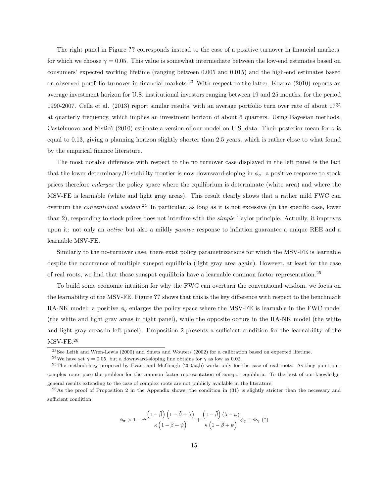The right panel in Figure ?? corresponds instead to the case of a positive turnover in financial markets, for which we choose  $\gamma = 0.05$ . This value is somewhat intermediate between the low-end estimates based on consumers' expected working lifetime (ranging between 0.005 and 0.015) and the high-end estimates based on observed portfolio turnover in financial markets.<sup>23</sup> With respect to the latter, Kozora (2010) reports an average investment horizon for U.S. institutional investors ranging between 19 and 25 months, for the period 1990-2007. Cella et al. (2013) report similar results, with an average portfolio turn over rate of about 17% at quarterly frequency, which implies an investment horizon of about 6 quarters. Using Bayesian methods, Castelnuovo and Nisticò (2010) estimate a version of our model on U.S. data. Their posterior mean for  $\gamma$  is equal to 0.13, giving a planning horizon slightly shorter than 2.5 years, which is rather close to what found by the empirical finance literature.

The most notable difference with respect to the no turnover case displayed in the left panel is the fact that the lower determinacy/E-stability frontier is now downward-sloping in  $\phi_q$ : a positive response to stock prices therefore enlarges the policy space where the equilibrium is determinate (white area) and where the MSV-FE is learnable (white and light gray areas). This result clearly shows that a rather mild FWC can overturn the *conventional wisdom*.<sup>24</sup> In particular, as long as it is not excessive (in the specific case, lower than 2), responding to stock prices does not interfere with the *simple* Taylor principle. Actually, it improves upon it: not only an active but also a mildly passive response to inflation guarantee a unique REE and a learnable MSV-FE.

Similarly to the no-turnover case, there exist policy parametrizations for which the MSV-FE is learnable despite the occurrence of multiple sunspot equilibria (light gray area again). However, at least for the case of real roots, we find that those sunspot equilibria have a learnable common factor representation.<sup>25</sup>

To build some economic intuition for why the FWC can overturn the conventional wisdom, we focus on the learnability of the MSV-FE. Figure ?? shows that this is the key difference with respect to the benchmark RA-NK model: a positive  $\phi_q$  enlarges the policy space where the MSV-FE is learnable in the FWC model (the white and light gray areas in right panel), while the opposite occurs in the RA-NK model (the white and light gray areas in left panel). Proposition 2 presents a sufficient condition for the learnability of the MSV-FE.<sup>26</sup>

$$
\phi_{\pi} > 1 - \psi \frac{\left(1 - \tilde{\beta}\right)\left(1 - \tilde{\beta} + \lambda\right)}{\kappa \left(1 - \tilde{\beta} + \psi\right)} + \frac{\left(1 - \tilde{\beta}\right)(\lambda - \psi)}{\kappa \left(1 - \tilde{\beta} + \psi\right)} \phi_{q} \equiv \Phi_{\gamma} \ (*)
$$

<sup>23</sup>See Leith and Wren-Lewis (2000) and Smets and Wouters (2002) for a calibration based on expected lifetime.

<sup>&</sup>lt;sup>24</sup>We have set  $\gamma = 0.05$ , but a downward-sloping line obtains for  $\gamma$  as low as 0.02.

<sup>&</sup>lt;sup>25</sup>The methodology proposed by Evans and McGough (2005a,b) works only for the case of real roots. As they point out, complex roots pose the problem for the common factor representation of sunspot equilibria. To the best of our knowledge, general results extending to the case of complex roots are not publicly available in the literature.

 $^{26}$ As the proof of Proposition 2 in the Appendix shows, the condition in (31) is slightly stricter than the necessary and sufficient condition: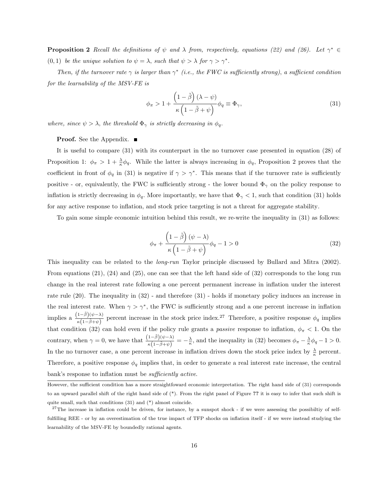**Proposition 2** Recall the definitions of  $\psi$  and  $\lambda$  from, respectively, equations (22) and (26). Let  $\gamma^* \in$ (0, 1) be the unique solution to  $\psi = \lambda$ , such that  $\psi > \lambda$  for  $\gamma > \gamma^*$ .

Then, if the turnover rate  $\gamma$  is larger than  $\gamma^*$  (i.e., the FWC is sufficiently strong), a sufficient condition for the learnability of the MSV-FE is

$$
\phi_{\pi} > 1 + \frac{\left(1 - \tilde{\beta}\right)(\lambda - \psi)}{\kappa \left(1 - \tilde{\beta} + \psi\right)} \phi_q \equiv \Phi_{\gamma},\tag{31}
$$

where, since  $\psi > \lambda$ , the threshold  $\Phi_{\gamma}$  is strictly decreasing in  $\phi_{q}$ .

#### **Proof.** See the Appendix. ■

It is useful to compare (31) with its counterpart in the no turnover case presented in equation (28) of Proposition 1:  $\phi_{\pi} > 1 + \frac{\lambda}{\kappa} \phi_q$ . While the latter is always increasing in  $\phi_q$ , Proposition 2 proves that the coefficient in front of  $\phi_q$  in (31) is negative if  $\gamma > \gamma^*$ . This means that if the turnover rate is sufficiently positive - or, equivalently, the FWC is sufficiently strong - the lower bound  $\Phi_{\gamma}$  on the policy response to inflation is strictly decreasing in  $\phi_q$ . More importantly, we have that  $\Phi_\gamma < 1$ , such that condition (31) holds for any active response to inflation, and stock price targeting is not a threat for aggregate stability.

To gain some simple economic intuition behind this result, we re-write the inequality in (31) as follows:

$$
\phi_{\pi} + \frac{\left(1 - \tilde{\beta}\right)(\psi - \lambda)}{\kappa\left(1 - \tilde{\beta} + \psi\right)} \phi_q - 1 > 0 \tag{32}
$$

This inequality can be related to the long-run Taylor principle discussed by Bullard and Mitra (2002). From equations (21), (24) and (25), one can see that the left hand side of (32) corresponds to the long run change in the real interest rate following a one percent permanent increase in inflation under the interest rate rule (20). The inequality in (32) - and therefore (31) - holds if monetary policy induces an increase in the real interest rate. When  $\gamma > \gamma^*$ , the FWC is sufficiently strong and a one percent increase in inflation implies a  $\frac{(1-\tilde{\beta})(\psi-\lambda)}{\kappa(1-\tilde{\beta}+\psi)}$  percent increase in the stock price index.<sup>27</sup> Therefore, a positive response  $\phi_q$  implies that condition (32) can hold even if the policy rule grants a *passive* response to inflation,  $\phi_{\pi} < 1$ . On the contrary, when  $\gamma = 0$ , we have that  $\frac{(1-\tilde{\beta})(\psi-\lambda)}{\kappa(1-\tilde{\beta}+\psi)} = -\frac{\lambda}{\kappa}$ , and the inequality in (32) becomes  $\phi_{\pi} - \frac{\lambda}{\kappa}\phi_{q} - 1 > 0$ . In the no turnover case, a one percent increase in inflation drives down the stock price index by  $\frac{\lambda}{\kappa}$  percent. Therefore, a positive response  $\phi_q$  implies that, in order to generate a real interest rate increase, the central bank's response to inflation must be *sufficiently active*.

However, the sufficient condition has a more straightfoward economic interpretation. The right hand side of (31) corresponds to an upward parallel shift of the right hand side of (\*). From the right panel of Figure ?? it is easy to infer that such shift is quite small, such that conditions (31) and (\*) almost coincide.

 $27$ The increase in inflation could be driven, for instance, by a sunspot shock - if we were assessing the possibiltiy of selffulfilling REE - or by an overestimation of the true impact of TFP shocks on inflation itself - if we were instead studying the learnability of the MSV-FE by boundedly rational agents.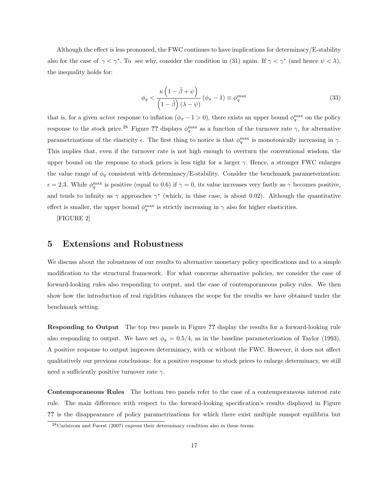Although the effect is less pronouced, the FWC continues to have implications for determinacy/E-stability also for the case of  $\gamma < \gamma^*$ . To see why, consider the condition in (31) again. If  $\gamma < \gamma^*$  (and hence  $\psi < \lambda$ ), the inequality holds for:

$$
\phi_q < \frac{\kappa \left(1 - \tilde{\beta} + \psi\right)}{\left(1 - \tilde{\beta}\right)(\lambda - \psi)} \left(\phi_\pi - 1\right) \equiv \phi_q^{\max} \tag{33}
$$

that is, for a given *active* response to inflation  $(\phi_{\pi} - 1 > 0)$ , there exists an upper bound  $\phi_q^{\max}$  on the policy response to the stock price.<sup>28</sup> Figure ?? displays  $\phi_q^{\max}$  as a function of the turnover rate  $\gamma$ , for alternative parametrizations of the elasticity  $\epsilon$ . The first thing to notice is that  $\phi_q^{\text{max}}$  is monotonically increasing in  $\gamma$ . This implies that, even if the turnover rate is not high enough to overturn the conventional wisdom, the upper bound on the response to stock prices is less tight for a larger  $\gamma$ . Hence, a stronger FWC enlarges the value range of  $\phi_q$  consistent with determinacy/E-stability. Consider the benchmark parameterization:  $\epsilon = 2.3$ . While  $\phi_q^{\text{max}}$  is positive (equal to 0.6) if  $\gamma = 0$ , its value increases very fastly as  $\gamma$  becomes positive, and tends to infinity as  $\gamma$  approaches  $\gamma^*$  (which, in thise case, is about 0.02). Although the quantitative effect is smaller, the upper bound  $\phi_q^{\text{max}}$  is strictly increasing in  $\gamma$  also for higher elasticities.

[FIGURE 2]

## 5 Extensions and Robustness

We discuss about the robustness of our results to alternative monetary policy specifications and to a simple modification to the structural framework. For what concerns alternative policies, we consider the case of forward-looking rules also responding to output, and the case of contemporaneous policy rules. We then show how the introduction of real rigidities enhances the scope for the results we have obtained under the benchmark setting.

Responding to Output The top two panels in Figure ?? display the results for a forward-looking rule also responding to output. We have set  $\phi_y = 0.5/4$ , as in the baseline parameterization of Taylor (1993). A positive response to output improves determinacy, with or without the FWC. However, it does not affect qualitatively our previous conclusions: for a positive response to stock prices to enlarge determinacy, we still need a sufficiently positive turnover rate  $\gamma$ .

Contemporaneous Rules The bottom two panels refer to the case of a contemporaneous interest rate rule. The main difference with respect to the forward-looking specification's results displayed in Figure ?? is the disappearance of policy parametrizations for which there exist multiple sunspot equilibria but

<sup>&</sup>lt;sup>28</sup>Carlstrom and Fuerst (2007) express their determinacy condition also in these terms.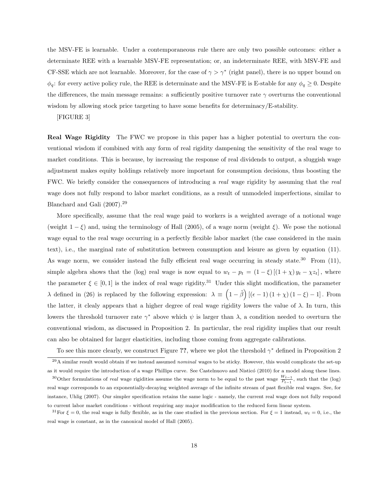the MSV-FE is learnable. Under a contemporaneous rule there are only two possible outcomes: either a determinate REE with a learnable MSV-FE representation; or, an indeterminate REE, with MSV-FE and CF-SSE which are not learnable. Moreover, for the case of  $\gamma > \gamma^*$  (right panel), there is no upper bound on  $\phi_q$ : for every active policy rule, the REE is determinate and the MSV-FE is E-stable for any  $\phi_q \ge 0$ . Despite the differences, the main message remains: a sufficiently positive turnover rate  $\gamma$  overturns the conventional wisdom by allowing stock price targeting to have some benefits for determinacy/E-stability.

#### [FIGURE 3]

Real Wage Rigidity The FWC we propose in this paper has a higher potential to overturn the conventional wisdom if combined with any form of real rigidity dampening the sensitivity of the real wage to market conditions. This is because, by increasing the response of real dividends to output, a sluggish wage adjustment makes equity holdings relatively more important for consumption decisions, thus boosting the FWC. We briefly consider the consequences of introducing a real wage rigidity by assuming that the real wage does not fully respond to labor market conditions, as a result of unmodeled imperfections, similar to Blanchard and Gali (2007).<sup>29</sup>

More specifically, assume that the real wage paid to workers is a weighted average of a notional wage (weight  $1 - \xi$ ) and, using the terminology of Hall (2005), of a wage norm (weight  $\xi$ ). We pose the notional wage equal to the real wage occurring in a perfectly flexible labor market (the case considered in the main text), i.e., the marginal rate of substitution between consumption and leisure as given by equation (11). As wage norm, we consider instead the fully efficient real wage occurring in steady state.<sup>30</sup> From  $(11)$ , simple algebra shows that the (log) real wage is now equal to  $w_t - p_t = (1 - \xi) [(1 + \chi) y_t - \chi z_t]$ , where the parameter  $\xi \in [0,1]$  is the index of real wage rigidity.<sup>31</sup> Under this slight modification, the parameter λ defined in (26) is replaced by the following expression:  $\lambda \equiv (1 - \tilde{\beta}) [(\epsilon - 1)(1 + \chi)(1 - \xi) - 1]$ . From the latter, it clealy appears that a higher degree of real wage rigidity lowers the value of  $\lambda$ . In turn, this lowers the threshold turnover rate  $\gamma^*$  above which  $\psi$  is larger than  $\lambda$ , a condition needed to overturn the conventional wisdom, as discussed in Proposition 2. In particular, the real rigidity implies that our result can also be obtained for larger elasticities, including those coming from aggregate calibrations.

To see this more clearly, we construct Figure ??, where we plot the threshold  $\gamma^*$  defined in Proposition 2

 $^{29}$ A similar result would obtain if we instead assumed nominal wages to be sticky. However, this would complicate the set-up as it would require the introduction of a wage Phillips curve. See Castelnuovo and Nisticó (2010) for a model along these lines. <sup>30</sup>Other formulations of *real* wage rigidities assume the wage norm to be equal to the past wage  $\frac{W_{t-1}}{P_{t-1}}$ , such that the (log) real wage corresponds to an exponentially-decaying weighted average of the infinite stream of past flexible real wages. See, for instance, Uhlig (2007). Our simpler specification retains the same logic - namely, the current real wage does not fully respond

to current labor market conditions - without requiring any major modification to the reduced form linear system.

<sup>&</sup>lt;sup>31</sup>For  $\xi = 0$ , the real wage is fully flexible, as in the case studied in the previous section. For  $\xi = 1$  instead,  $w_t = 0$ , i.e., the real wage is constant, as in the canonical model of Hall (2005).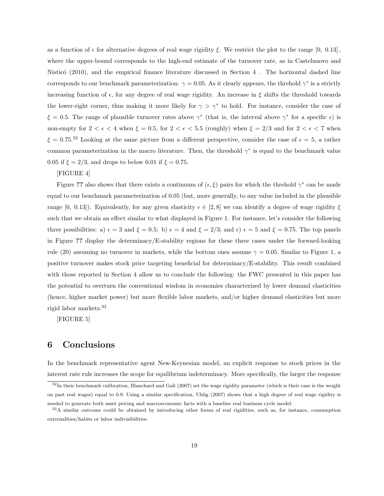as a function of  $\epsilon$  for alternative degrees of real wage rigidity  $\xi$ . We restrict the plot to the range [0, 0.13], where the upper-bound corresponds to the high-end estimate of the turnover rate, as in Castelnuovo and Nisticó  $(2010)$ , and the empirical finance literature discussed in Section 4. The horizontal dashed line corresponds to our benchmark parameterization:  $\gamma = 0.05$ . As it clearly appears, the threhold  $\gamma^*$  is a strictly increasing function of  $\epsilon$ , for any degree of real wage rigidity. An increase in  $\xi$  shifts the threshold towards the lower-right corner, thus making it more likely for  $\gamma > \gamma^*$  to hold. For instance, consider the case of  $\xi = 0.5$ . The range of plausible turnover rates above  $\gamma^*$  (that is, the interval above  $\gamma^*$  for a specific  $\epsilon$ ) is non-empty for  $2 < \epsilon < 4$  when  $\xi = 0.5$ , for  $2 < \epsilon < 5.5$  (roughly) when  $\xi = 2/3$  and for  $2 < \epsilon < 7$  when  $\xi = 0.75$ .<sup>32</sup> Looking at the same picture from a different perspective, consider the case of  $\epsilon = 5$ , a rather common parameterization in the macro literature. Then, the threshold  $\gamma^*$  is equal to the benchmark value 0.05 if  $\xi = 2/3$ , and drops to below 0.01 if  $\xi = 0.75$ .

#### [FIGURE 4]

Figure ?? also shows that there exists a continuum of  $(\epsilon, \xi)$  pairs for which the threhold  $\gamma^*$  can be made equal to our benchmark parameterization of 0.05 (but, more generally, to any value included in the plausible range [0, 0.13]). Equivalently, for any given elasticity  $\epsilon \in [2, 8]$  we can identify a degree of wage rigidity  $\xi$ such that we obtain an effect similar to what displayed in Figure 1. For instance, let's consider the following three possibilities: a)  $\epsilon = 3$  and  $\xi = 0.5$ ; b)  $\epsilon = 4$  and  $\xi = 2/3$ ; and c)  $\epsilon = 5$  and  $\xi = 0.75$ . The top panels in Figure ?? display the determinacy/E-stability regions for these three cases under the forward-looking rule (20) assuming no turnover in markets, while the bottom ones assume  $\gamma = 0.05$ . Similar to Figure 1, a positive turnover makes stock price targeting beneficial for determinacy/E-stability. This result combined with those reported in Section 4 allow us to conclude the following: the FWC presented in this paper has the potential to overturn the conventional wisdom in economies characterized by lower demand elasticities (hence, higher market power) but more flexible labor markets, and/or higher demand elasticities but more rigid labor markets.<sup>33</sup>

[FIGURE 5]

## 6 Conclusions

In the benchmark representative agent New-Keynesian model, an explicit response to stock prices in the interest rate rule increases the scope for equilibrium indeterminacy. More specifically, the larger the response

 $32$ In their benchmark calibration, Blanchard and Gali (2007) set the wage rigidity parameter (which is their case is the weight on past real wages) equal to 0.9. Using a similar specification, Uhlig (2007) shows that a high degree of real wage rigidity is needed to generate both asset pricing and macroeconomic facts with a baseline real business cycle model.

<sup>33</sup>A similar outcome could be obtained by introducing other forms of real rigidities, such as, for instance, consumption externalities/habits or labor indivisibilities.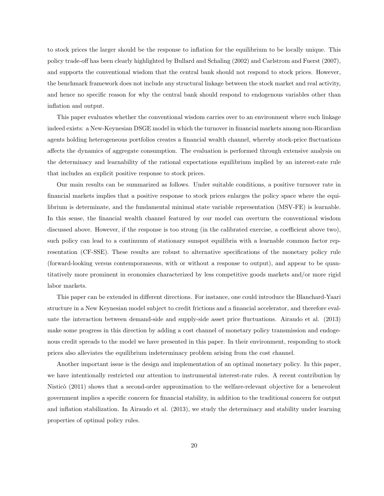to stock prices the larger should be the response to inflation for the equilibrium to be locally unique. This policy trade-off has been clearly highlighted by Bullard and Schaling (2002) and Carlstrom and Fuerst (2007), and supports the conventional wisdom that the central bank should not respond to stock prices. However, the benchmark framework does not include any structural linkage between the stock market and real activity, and hence no specific reason for why the central bank should respond to endogenous variables other than inflation and output.

This paper evaluates whether the conventional wisdom carries over to an environment where such linkage indeed exists: a New-Keynesian DSGE model in which the turnover in financial markets among non-Ricardian agents holding heterogeneous portfolios creates a financial wealth channel, whereby stock-price fluctuations affects the dynamics of aggregate consumption. The evaluation is performed through extensive analysis on the determinacy and learnability of the rational expectations equilibrium implied by an interest-rate rule that includes an explicit positive response to stock prices.

Our main results can be summarized as follows. Under suitable conditions, a positive turnover rate in financial markets implies that a positive response to stock prices enlarges the policy space where the equilibrium is determinate, and the fundamental minimal state variable representation (MSV-FE) is learnable. In this sense, the financial wealth channel featured by our model can overturn the conventional wisdom discussed above. However, if the response is too strong (in the calibrated exercise, a coefficient above two), such policy can lead to a continuum of stationary sunspot equilibria with a learnable common factor representation (CF-SSE). These results are robust to alternative specifications of the monetary policy rule (forward-looking versus contemporaneous, with or without a response to output), and appear to be quantitatively more prominent in economies characterized by less competitive goods markets and/or more rigid labor markets.

This paper can be extended in different directions. For instance, one could introduce the Blanchard-Yaari structure in a New Keynesian model subject to credit frictions and a financial accelerator, and therefore evaluate the interaction between demand-side and supply-side asset price fluctuations. Airaudo et al. (2013) make some progress in this direction by adding a cost channel of monetary policy transmission and endogenous credit spreads to the model we have presented in this paper. In their environment, responding to stock prices also alleviates the equilibrium indeterminacy problem arising from the cost channel.

Another important issue is the design and implementation of an optimal monetary policy. In this paper, we have intentionally restricted our attention to instrumental interest-rate rules. A recent contribution by Nisticò (2011) shows that a second-order approximation to the welfare-relevant objective for a benevolent government implies a specific concern for financial stability, in addition to the traditional concern for output and inflation stabilization. In Airaudo et al. (2013), we study the determinacy and stability under learning properties of optimal policy rules.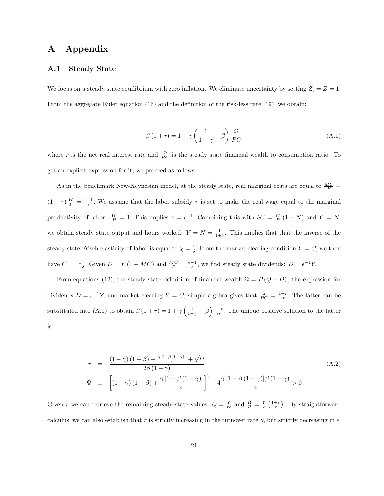## A Appendix

## A.1 Steady State

We focus on a steady state equilibrium with zero inflation. We eliminate uncertainty by setting  $Z_t = Z = 1$ . From the aggregate Euler equation (16) and the definition of the risk-less rate (19), we obtain:

$$
\beta(1+r) = 1 + \gamma \left(\frac{1}{1-\gamma} - \beta\right) \frac{\Omega}{PC}
$$
\n(A.1)

where r is the net real interest rate and  $\frac{\Omega}{PC}$  is the steady state financial wealth to consumption ratio. To get an explicit expression for it, we proceed as follows.

As in the benchmark New-Keynesian model, at the steady state, real marginal costs are equal to  $\frac{MC}{P}$  =  $(1 - \tau) \frac{W}{P} = \frac{\epsilon - 1}{\epsilon}$ . We assume that the labor subsidy  $\tau$  is set to make the real wage equal to the marginal productivity of labor:  $\frac{W}{P} = 1$ . This implies  $\tau = \epsilon^{-1}$ . Combining this with  $\delta C = \frac{W}{P}(1 - N)$  and  $Y = N$ , we obtain steady state output and hours worked:  $Y = N = \frac{1}{1+\delta}$ . This implies that that the inverse of the steady state Frisch elasticity of labor is equal to  $\chi = \frac{1}{\delta}$ . From the market clearing condition  $Y = C$ , we then have  $C = \frac{1}{1+\delta}$ . Given  $D = Y(1 - MC)$  and  $\frac{MC}{P} = \frac{\epsilon - 1}{\epsilon}$ , we find steady state dividends:  $D = \epsilon^{-1}Y$ .

From equations (12), the steady state definition of financial wealth  $\Omega = P(Q+D)$ , the expression for dividends  $D = \epsilon^{-1}Y$ , and market clearing  $Y = C$ , simple algebra gives that  $\frac{\Omega}{PC} = \frac{1+r}{\epsilon r}$ . The latter can be substituted into (A.1) to obtain  $\beta(1+r) = 1+\gamma\left(\frac{1}{1-\gamma}-\beta\right)\frac{1+r}{\epsilon r}$ . The unique positive solution to the latter is:

$$
r = \frac{(1-\gamma)(1-\beta) + \frac{\gamma[1-\beta(1-\gamma)]}{\epsilon} + \sqrt{\Psi}}{2\beta(1-\gamma)}
$$
  

$$
\Psi \equiv \left[ (1-\gamma)(1-\beta) + \frac{\gamma[1-\beta(1-\gamma)]}{\epsilon} \right]^2 + 4\frac{\gamma[1-\beta(1-\gamma)]\beta(1-\gamma)}{\epsilon} > 0
$$
 (A.2)

Given r we can retrieve the remaining steady state values:  $Q = \frac{Y}{r\epsilon}$  and  $\frac{Q}{P} = \frac{Y}{\epsilon} \left( \frac{1+r}{r} \right)$ . By straightforward calculus, we can also establish that r is strictly increasing in the turnover rate  $\gamma$ , but strictly decreasing in  $\epsilon$ .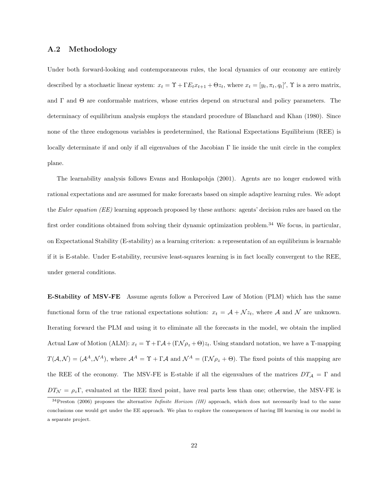#### A.2 Methodology

Under both forward-looking and contemporaneous rules, the local dynamics of our economy are entirely described by a stochastic linear system:  $x_t = \Upsilon + \Gamma E_t x_{t+1} + \Theta z_t$ , where  $x_t = [y_t, \pi_t, q_t]'$ ,  $\Upsilon$  is a zero matrix, and  $\Gamma$  and  $\Theta$  are conformable matrices, whose entries depend on structural and policy parameters. The determinacy of equilibrium analysis employs the standard procedure of Blanchard and Khan (1980). Since none of the three endogenous variables is predetermined, the Rational Expectations Equilibrium (REE) is locally determinate if and only if all eigenvalues of the Jacobian Γ lie inside the unit circle in the complex plane.

The learnability analysis follows Evans and Honkapohja (2001). Agents are no longer endowed with rational expectations and are assumed for make forecasts based on simple adaptive learning rules. We adopt the Euler equation (EE) learning approach proposed by these authors: agents' decision rules are based on the first order conditions obtained from solving their dynamic optimization problem.<sup>34</sup> We focus, in particular, on Expectational Stability (E-stability) as a learning criterion: a representation of an equilibrium is learnable if it is E-stable. Under E-stability, recursive least-squares learning is in fact locally convergent to the REE, under general conditions.

E-Stability of MSV-FE Assume agents follow a Perceived Law of Motion (PLM) which has the same functional form of the true rational expectations solution:  $x_t = A + Nz_t$ , where A and N are unknown. Iterating forward the PLM and using it to eliminate all the forecasts in the model, we obtain the implied Actual Law of Motion (ALM):  $x_t = \Upsilon + \Gamma \mathcal{A} + (\Gamma \mathcal{N} \rho_z + \Theta) z_t$ . Using standard notation, we have a T-mapping  $T(\mathcal{A}, \mathcal{N}) = (\mathcal{A}^A, \mathcal{N}^A)$ , where  $\mathcal{A}^A = \Upsilon + \Gamma \mathcal{A}$  and  $\mathcal{N}^A = (\Gamma \mathcal{N} \rho_z + \Theta)$ . The fixed points of this mapping are the REE of the economy. The MSV-FE is E-stable if all the eigenvalues of the matrices  $DT_A = \Gamma$  and  $DT_{\mathcal{N}} = \rho_z \Gamma$ , evaluated at the REE fixed point, have real parts less than one; otherwise, the MSV-FE is

 $34$ Preston (2006) proposes the alternative *Infinite Horizon (IH)* approach, which does not necessarily lead to the same conclusions one would get under the EE approach. We plan to explore the consequences of having IH learning in our model in a separate project.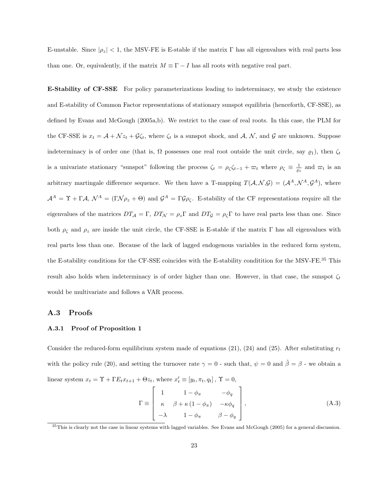E-unstable. Since  $|\rho_z|$  < 1, the MSV-FE is E-stable if the matrix Γ has all eigenvalues with real parts less than one. Or, equivalently, if the matrix  $M \equiv \Gamma - I$  has all roots with negative real part.

E-Stability of CF-SSE For policy parameterizations leading to indeterminacy, we study the existence and E-stability of Common Factor representations of stationary sunspot equilibria (henceforth, CF-SSE), as defined by Evans and McGough (2005a,b). We restrict to the case of real roots. In this case, the PLM for the CF-SSE is  $x_t = A + \sqrt{z_t} + \mathcal{G}\zeta_t$ , where  $\zeta_t$  is a sunspot shock, and A, N, and G are unknown. Suppose indeterminacy is of order one (that is,  $\Omega$  possesses one real root outside the unit circle, say  $\varrho_1$ ), then  $\zeta_t$ is a univariate stationary "sunspot" following the process  $\zeta_t = \rho_{\zeta} \zeta_{t-1} + \varpi_t$  where  $\rho_{\zeta} \equiv \frac{1}{\varrho_1}$  and  $\varpi_t$  is an arbitrary martingale difference sequence. We then have a T-mapping  $T(A, \mathcal{N}, \mathcal{G}) = (\mathcal{A}^A, \mathcal{N}^A, \mathcal{G}^A)$ , where  $\mathcal{A}^A = \Upsilon + \Gamma \mathcal{A}, \ \mathcal{N}^A = (\Gamma \mathcal{N} \rho_z + \Theta)$  and  $\mathcal{G}^A = \Gamma \mathcal{G} \rho_{\zeta}$ . E-stability of the CF representations require all the eigenvalues of the matrices  $DT_A = \Gamma$ ,  $DT_{\mathcal{N}} = \rho_z \Gamma$  and  $DT_{\mathcal{G}} = \rho_{\zeta} \Gamma$  to have real parts less than one. Since both  $\rho_{\zeta}$  and  $\rho_{z}$  are inside the unit circle, the CF-SSE is E-stable if the matrix Γ has all eigenvalues with real parts less than one. Because of the lack of lagged endogenous variables in the reduced form system, the E-stability conditions for the CF-SSE coincides with the E-stability conditition for the MSV-FE. $^{35}$  This result also holds when indeterminacy is of order higher than one. However, in that case, the sunspot  $\zeta_t$ would be multivariate and follows a VAR process.

#### A.3 Proofs

#### A.3.1 Proof of Proposition 1

Consider the reduced-form equilibrium system made of equations (21), (24) and (25). After substituting  $r_t$ with the policy rule (20), and setting the turnover rate  $\gamma = 0$  - such that,  $\psi = 0$  and  $\tilde{\beta} = \beta$  - we obtain a linear system  $x_t = \Upsilon + \Gamma E_t x_{t+1} + \Theta z_t$ , where  $x'_t \equiv [y_t, \pi_t, q_t]$ ,  $\Upsilon = 0$ ,

$$
\Gamma \equiv \begin{bmatrix} 1 & 1 - \phi_{\pi} & -\phi_{q} \\ \kappa & \beta + \kappa (1 - \phi_{\pi}) & -\kappa \phi_{q} \\ -\lambda & 1 - \phi_{\pi} & \beta - \phi_{q} \end{bmatrix},
$$
\n(A.3)

<sup>35</sup>This is clearly not the case in linear systems with lagged variables. See Evans and McGough (2005) for a general discussion.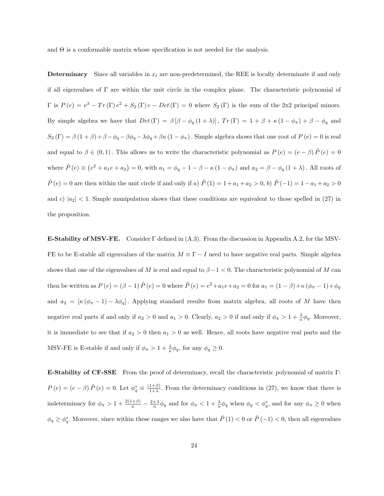and  $\Theta$  is a conformable matrix whose specification is not needed for the analysis.

**Determinacy** Since all variables in  $x_t$  are non-predetermined, the REE is locally determinate if and only if all eigenvalues of Γ are within the unit circle in the complex plane. The characteristic polynomial of  $\Gamma$  is  $P(e) = e^3 - Tr(\Gamma)e^2 + S_2(\Gamma)e - Det(\Gamma) = 0$  where  $S_2(\Gamma)$  is the sum of the 2x2 principal minors. By simple algebra we have that  $Det(\Gamma) = \beta [\beta - \phi_q (1 + \lambda)], Tr(\Gamma) = 1 + \beta + \kappa (1 - \phi_\pi) + \beta - \phi_q$  and  $S_2(\Gamma) = \beta(1+\beta)+\beta-\phi_q-\beta\phi_q-\lambda\phi_q+\beta\kappa(1-\phi_\pi)$ . Simple algebra shows that one root of  $P(e) = 0$  is real and equal to  $\beta \in (0,1)$ . This allows us to write the characteristic polynomial as  $P(e) = (e - \beta) \tilde{P}(e) = 0$ where  $\tilde{P}(e) \equiv (e^2 + a_1e + a_2) = 0$ , with  $a_1 = \phi_q - 1 - \beta - \kappa(1 - \phi_\pi)$  and  $a_2 = \beta - \phi_q(1 + \lambda)$ . All roots of  $\tilde{P}(e) = 0$  are then within the unit circle if and only if a)  $\tilde{P}(1) = 1 + a_1 + a_2 > 0$ , b)  $\tilde{P}(-1) = 1 - a_1 + a_2 > 0$ and c)  $|a_2|$  < 1. Simple manipulation shows that these conditions are equivalent to those spelled in (27) in the proposition.

E-Stability of MSV-FE. Consider Γ defined in (A.3). From the discussion in Appendix A.2, for the MSV-FE to be E-stable all eigenvalues of the matrix  $M \equiv \Gamma - I$  need to have negative real parts. Simple algebra shows that one of the eigenvalues of M is real and equal to  $\beta - 1 < 0$ . The characteristic polynomial of M can then be written as  $P(e) = (\beta - 1) \tilde{P}(e) = 0$  where  $\tilde{P}(e) = e^2 + a_1 e + a_2 = 0$  for  $a_1 = (1 - \beta) + \kappa (\phi_\pi - 1) + \phi_q$ and  $a_2 = [\kappa (\phi_\pi - 1) - \lambda \phi_q]$ . Applying standard results from matrix algebra, all roots of M have then negative real parts if and only if  $a_2 > 0$  and  $a_1 > 0$ . Clearly,  $a_2 > 0$  if and only if  $\phi_{\pi} > 1 + \frac{\lambda}{\kappa} \phi_q$ . Moreover, it is immediate to see that if  $a_2 > 0$  then  $a_1 > 0$  as well. Hence, all roots have negative real parts and the MSV-FE is E-stable if and only if  $\phi_{\pi} > 1 + \frac{\lambda}{\kappa} \phi_q$ , for any  $\phi_q \geq 0$ .

E-Stability of CF-SSE From the proof of determinacy, recall the characteristic polynomial of matrix Γ:  $P(e) = (e - \beta) \tilde{P}(e) = 0.$  Let  $\phi_q^* \equiv \frac{(1 + \beta)}{1 + \lambda}$  $\frac{1+\beta}{1+\lambda}$ . From the determinacy conditions in (27), we know that there is indeterminacy for  $\phi_{\pi} > 1 + \frac{2(1+\beta)}{\kappa} - \frac{2+\lambda}{\kappa} \phi_q$  and for  $\phi_{\pi} < 1 + \frac{\lambda}{\kappa} \phi_q$  when  $\phi_q < \phi_q^*$ , and for any  $\phi_{\pi} \geq 0$  when  $\phi_q \ge \phi_q^*$ . Moreover, since within these ranges we also have that  $\tilde{P}(1) < 0$  or  $\tilde{P}(-1) < 0$ , then all eigenvalues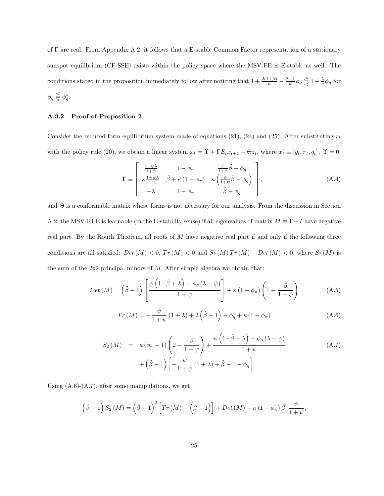of Γ are real. From Appendix A.2, it follows that a E-stable Common Factor representation of a stationary sunspot equilibrium (CF-SSE) exists within the policy space where the MSV-FE is E-stable as well. The conditions stated in the proposition immediately follow after noticing that  $1 + \frac{2(1+\beta)}{\kappa} - \frac{2+\lambda}{\kappa} \phi_q \geq 1 + \frac{\lambda}{\kappa} \phi_q$  for  $\phi_q \lesseqqgtr \phi_q^*$ .

### A.3.2 Proof of Proposition 2

Consider the reduced-form equilibrium system made of equations (21), (24) and (25). After substituting  $r_t$ with the policy rule (20), we obtain a linear system  $x_t = \Upsilon + \Gamma E_t x_{t+1} + \Theta z_t$ , where  $x'_t \equiv [y_t, \pi_t, q_t]$ ,  $\Upsilon = 0$ ,

$$
\Gamma \equiv \begin{bmatrix} \frac{1-\psi\lambda}{1+\psi} & 1-\phi_{\pi} & \frac{\psi}{1+\psi}\tilde{\beta}-\phi_{q} \\ \kappa\frac{1-\psi\lambda}{1+\psi} & \tilde{\beta}+\kappa\left(1-\phi_{\pi}\right) & \kappa\left(\frac{\psi}{1+\psi}\tilde{\beta}-\phi_{q}\right) \\ -\lambda & 1-\phi_{\pi} & \tilde{\beta}-\phi_{q} \end{bmatrix}, \tag{A.4}
$$

and Θ is a conformable matrix whose forms is not necessary for our analysis. From the discussion in Section A.2, the MSV-REE is learnable (in the E-stability sense) if all eigenvalues of matrix  $M \equiv \Gamma - I$  have negative real part. By the Routh Theorem, all roots of  $M$  have negative real part if and only if the following three conditions are all satisfied:  $Det(M) < 0$ ,  $Tr(M) < 0$  and  $S_2(M) Tr(M) - Det(M) < 0$ , where  $S_2(M)$  is the sum of the  $2x2$  principal minors of  $M$ . After simple algebra we obtain that:

$$
Det(M) = (\tilde{\beta} - 1) \left[ \frac{\psi\left(1 - \tilde{\beta} + \lambda\right) - \phi_q\left(\lambda - \psi\right)}{1 + \psi} \right] + \kappa \left(1 - \phi_\pi\right) \left(1 - \frac{\tilde{\beta}}{1 + \psi}\right) \tag{A.5}
$$

$$
Tr(M) = -\frac{\psi}{1+\psi} (1+\lambda) + 2(\tilde{\beta}-1) - \phi_q + \kappa (1-\phi_\pi)
$$
 (A.6)

$$
S_2(M) = \kappa (\phi_\pi - 1) \left( 2 - \frac{\tilde{\beta}}{1 + \psi} \right) + \frac{\psi \left( 1 - \tilde{\beta} + \lambda \right) - \phi_q \left( \lambda - \psi \right)}{1 + \psi} + \left( \tilde{\beta} - 1 \right) \left[ -\frac{\psi}{1 + \psi} \left( 1 + \lambda \right) + \tilde{\beta} - 1 - \phi_q \right]
$$
\n(A.7)

Using  $(A.6)-(A.7)$ , after some manipulations, we get

$$
(\tilde{\beta}-1) S_2(M) = (\tilde{\beta}-1)^2 \left[Tr(M) - (\tilde{\beta}-1)\right] + Det(M) - \kappa (1-\phi_{\pi}) \tilde{\beta}^2 \frac{\psi}{1+\psi},
$$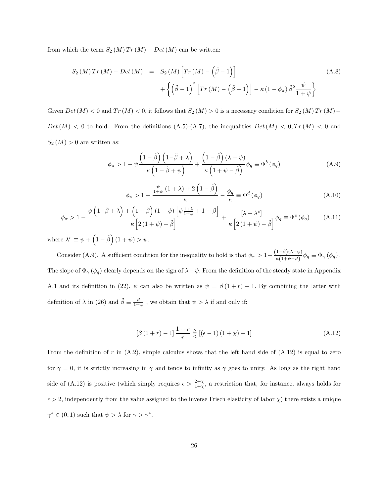from which the term  $S_2(M) Tr(M) - Det(M)$  can be written:

$$
S_2(M) Tr(M) - Det(M) = S_2(M) \left[ Tr(M) - (\tilde{\beta} - 1) \right]
$$
\n
$$
+ \left\{ (\tilde{\beta} - 1)^2 \left[ Tr(M) - (\tilde{\beta} - 1) \right] - \kappa (1 - \phi_\pi) \tilde{\beta}^2 \frac{\psi}{1 + \psi} \right\}
$$
\n(A.8)

Given  $Det(M) < 0$  and  $Tr(M) < 0$ , it follows that  $S_2(M) > 0$  is a necessary condition for  $S_2(M) Tr(M) Det(M) < 0$  to hold. From the definitions (A.5)-(A.7), the inequalities  $Det(M) < 0, Tr(M) < 0$  and  $S_2(M) > 0$  are written as:

$$
\phi_{\pi} > 1 - \psi \frac{\left(1 - \tilde{\beta}\right)\left(1 - \tilde{\beta} + \lambda\right)}{\kappa \left(1 - \tilde{\beta} + \psi\right)} + \frac{\left(1 - \tilde{\beta}\right)\left(\lambda - \psi\right)}{\kappa \left(1 + \psi - \tilde{\beta}\right)} \phi_{q} \equiv \Phi^{b}\left(\phi_{q}\right)
$$
\n(A.9)

$$
\phi_{\pi} > 1 - \frac{\frac{\psi}{1+\psi} (1+\lambda) + 2 \left(1 - \tilde{\beta}\right)}{\kappa} - \frac{\phi_q}{\kappa} \equiv \Phi^d \left(\phi_q\right) \tag{A.10}
$$

$$
\phi_{\pi} > 1 - \frac{\psi\left(1-\tilde{\beta}+\lambda\right) + \left(1-\tilde{\beta}\right)(1+\psi)\left[\psi\frac{1+\lambda}{1+\psi}+1-\tilde{\beta}\right]}{\kappa\left[2\left(1+\psi\right)-\tilde{\beta}\right]} + \frac{\left[\lambda-\lambda^{e}\right]}{\kappa\left[2\left(1+\psi\right)-\tilde{\beta}\right]}\phi_{q} \equiv \Phi^{e}\left(\phi_{q}\right) \tag{A.11}
$$

where  $\lambda^e \equiv \psi + (1 - \tilde{\beta})(1 + \psi) > \psi$ .

Consider (A.9). A sufficient condition for the inequality to hold is that  $\phi_{\pi} > 1 + \frac{(1-\tilde{\beta})(\lambda - \psi)}{\kappa(1+\psi-\tilde{\beta})} \phi_q \equiv \Phi_{\gamma}(\phi_q)$ . The slope of  $\Phi_{\gamma}(\phi_q)$  clearly depends on the sign of  $\lambda-\psi$ . From the definition of the steady state in Appendix A.1 and its definition in (22),  $\psi$  can also be written as  $\psi = \beta(1+r) - 1$ . By combining the latter with definition of  $\lambda$  in (26) and  $\tilde{\beta} \equiv \frac{\beta}{1+\psi}$ , we obtain that  $\psi > \lambda$  if and only if:

$$
[\beta (1+r) - 1] \frac{1+r}{r} \geq [(\epsilon - 1) (1+\chi) - 1]
$$
\n(A.12)

From the definition of r in  $(A.2)$ , simple calculus shows that the left hand side of  $(A.12)$  is equal to zero for  $\gamma = 0$ , it is strictly increasing in  $\gamma$  and tends to infinity as  $\gamma$  goes to unity. As long as the right hand side of (A.12) is positive (which simply requires  $\epsilon > \frac{2+\chi}{1+\chi}$ , a restriction that, for instance, always holds for  $\epsilon > 2$ , independently from the value assigned to the inverse Frisch elasticity of labor  $\chi$ ) there exists a unique  $\gamma^* \in (0,1)$  such that  $\psi > \lambda$  for  $\gamma > \gamma^*$ .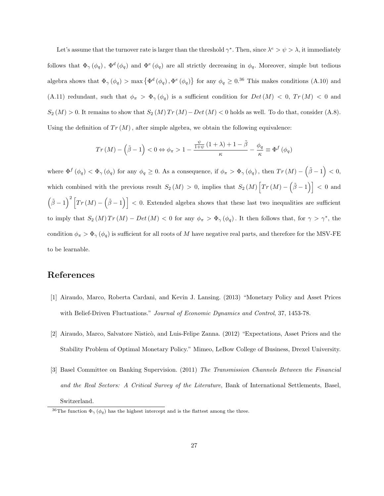Let's assume that the turnover rate is larger than the threshold  $\gamma^*$ . Then, since  $\lambda^e > \psi > \lambda$ , it immediately follows that  $\Phi_{\gamma}(\phi_q)$ ,  $\Phi^d(\phi_q)$  and  $\Phi^e(\phi_q)$  are all strictly decreasing in  $\phi_q$ . Moreover, simple but tedious algebra shows that  $\Phi_{\gamma}(\phi_q) > \max \{\Phi^d(\phi_q), \Phi^e(\phi_q)\}\$  for any  $\phi_q \geq 0.36$  This makes conditions (A.10) and (A.11) redundant, such that  $\phi_{\pi} > \Phi_{\gamma}(\phi_q)$  is a sufficient condition for  $Det(M) < 0$ ,  $Tr(M) < 0$  and  $S_2(M) > 0$ . It remains to show that  $S_2(M) Tr(M) - Det(M) < 0$  holds as well. To do that, consider (A.8). Using the definition of  $Tr(M)$ , after simple algebra, we obtain the following equivalence:

$$
Tr(M) - (\tilde{\beta} - 1) < 0 \Leftrightarrow \phi_{\pi} > 1 - \frac{\frac{\psi}{1 + \psi} (1 + \lambda) + 1 - \tilde{\beta}}{\kappa} - \frac{\phi_q}{\kappa} \equiv \Phi^f(\phi_q)
$$

where  $\Phi^f(\phi_q) < \Phi_\gamma(\phi_q)$  for any  $\phi_q \geq 0$ . As a consequence, if  $\phi_\pi > \Phi_\gamma(\phi_q)$ , then  $Tr(M) - (\tilde{\beta} - 1) < 0$ , which combined with the previous result  $S_2(M) > 0$ , implies that  $S_2(M) \left[Tr(M) - \left(\tilde{\beta} - 1\right)\right] < 0$  and  $(\tilde{\beta}-1)^2 [Tr(M)-(\tilde{\beta}-1)] < 0$ . Extended algebra shows that these last two inequalities are sufficient to imply that  $S_2(M) Tr(M) - Det(M) < 0$  for any  $\phi_{\pi} > \Phi_{\gamma}(\phi_q)$ . It then follows that, for  $\gamma > \gamma^*$ , the condition  $\phi_{\pi} > \Phi_{\gamma}(\phi_q)$  is sufficient for all roots of M have negative real parts, and therefore for the MSV-FE to be learnable.

## References

- [1] Airaudo, Marco, Roberta Cardani, and Kevin J. Lansing. (2013) "Monetary Policy and Asset Prices with Belief-Driven Fluctuations." Journal of Economic Dynamics and Control, 37, 1453-78.
- [2] Airaudo, Marco, Salvatore Nisticò, and Luis-Felipe Zanna. (2012) "Expectations, Asset Prices and the Stability Problem of Optimal Monetary Policy." Mimeo, LeBow College of Business, Drexel University.
- [3] Basel Committee on Banking Supervision. (2011) The Transmission Channels Between the Financial and the Real Sectors: A Critical Survey of the Literature, Bank of International Settlements, Basel, Switzerland.

<sup>&</sup>lt;sup>36</sup>The function  $\Phi_{\gamma}(\phi_q)$  has the highest intercept and is the flattest among the three.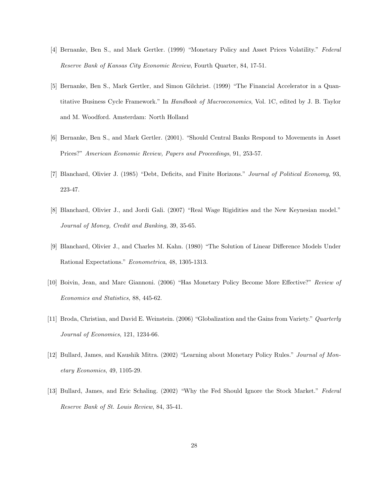- [4] Bernanke, Ben S., and Mark Gertler. (1999) "Monetary Policy and Asset Prices Volatility." Federal Reserve Bank of Kansas City Economic Review, Fourth Quarter, 84, 17-51.
- [5] Bernanke, Ben S., Mark Gertler, and Simon Gilchrist. (1999) "The Financial Accelerator in a Quantitative Business Cycle Framework." In Handbook of Macroeconomics, Vol. 1C, edited by J. B. Taylor and M. Woodford. Amsterdam: North Holland
- [6] Bernanke, Ben S., and Mark Gertler. (2001). "Should Central Banks Respond to Movements in Asset Prices?" American Economic Review, Papers and Proceedings, 91, 253-57.
- [7] Blanchard, Olivier J. (1985) "Debt, Deficits, and Finite Horizons." Journal of Political Economy, 93, 223-47.
- [8] Blanchard, Olivier J., and Jordi Gali. (2007) "Real Wage Rigidities and the New Keynesian model." Journal of Money, Credit and Banking, 39, 35-65.
- [9] Blanchard, Olivier J., and Charles M. Kahn. (1980) "The Solution of Linear Difference Models Under Rational Expectations." Econometrica, 48, 1305-1313.
- [10] Boivin, Jean, and Marc Giannoni. (2006) "Has Monetary Policy Become More Effective?" Review of Economics and Statistics, 88, 445-62.
- [11] Broda, Christian, and David E. Weinstein. (2006) "Globalization and the Gains from Variety." Quarterly Journal of Economics, 121, 1234-66.
- [12] Bullard, James, and Kaushik Mitra. (2002) "Learning about Monetary Policy Rules." Journal of Monetary Economics, 49, 1105-29.
- [13] Bullard, James, and Eric Schaling. (2002) "Why the Fed Should Ignore the Stock Market." Federal Reserve Bank of St. Louis Review, 84, 35-41.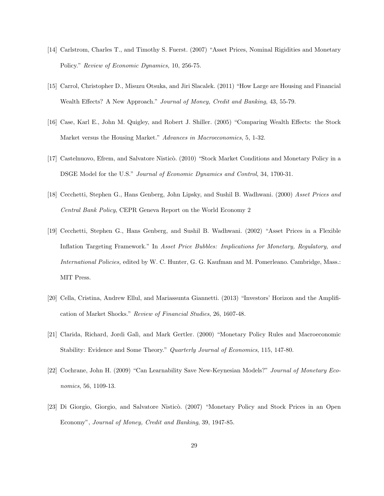- [14] Carlstrom, Charles T., and Timothy S. Fuerst. (2007) "Asset Prices, Nominal Rigidities and Monetary Policy." Review of Economic Dynamics, 10, 256-75.
- [15] Carrol, Christopher D., Misuzu Otsuka, and Jiri Slacalek. (2011) "How Large are Housing and Financial Wealth Effects? A New Approach." Journal of Money, Credit and Banking, 43, 55-79.
- [16] Case, Karl E., John M. Quigley, and Robert J. Shiller. (2005) "Comparing Wealth Effects: the Stock Market versus the Housing Market." Advances in Macroeconomics, 5, 1-32.
- [17] Castelnuovo, Efrem, and Salvatore Nisticò. (2010) "Stock Market Conditions and Monetary Policy in a DSGE Model for the U.S." Journal of Economic Dynamics and Control, 34, 1700-31.
- [18] Cecchetti, Stephen G., Hans Genberg, John Lipsky, and Sushil B. Wadhwani. (2000) Asset Prices and Central Bank Policy, CEPR Geneva Report on the World Economy 2
- [19] Cecchetti, Stephen G., Hans Genberg, and Sushil B. Wadhwani. (2002) "Asset Prices in a Flexible Inflation Targeting Framework." In Asset Price Bubbles: Implications for Monetary, Regulatory, and International Policies, edited by W. C. Hunter, G. G. Kaufman and M. Pomerleano. Cambridge, Mass.: MIT Press.
- [20] Cella, Cristina, Andrew Ellul, and Mariassunta Giannetti. (2013) "Investors' Horizon and the Amplification of Market Shocks." Review of Financial Studies, 26, 1607-48.
- [21] Clarida, Richard, Jordi Galì, and Mark Gertler. (2000) "Monetary Policy Rules and Macroeconomic Stability: Evidence and Some Theory." Quarterly Journal of Economics, 115, 147-80.
- [22] Cochrane, John H. (2009) "Can Learnability Save New-Keynesian Models?" Journal of Monetary Economics, 56, 1109-13.
- [23] Di Giorgio, Giorgio, and Salvatore Nisticò. (2007) "Monetary Policy and Stock Prices in an Open Economy", Journal of Money, Credit and Banking, 39, 1947-85.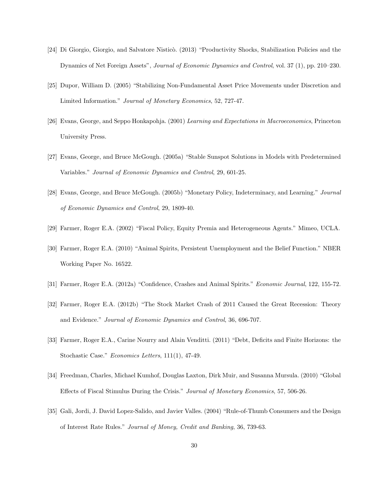- [24] Di Giorgio, Giorgio, and Salvatore Nisticò. (2013) "Productivity Shocks, Stabilization Policies and the Dynamics of Net Foreign Assets", Journal of Economic Dynamics and Control, vol. 37 (1), pp. 210–230.
- [25] Dupor, William D. (2005) "Stabilizing Non-Fundamental Asset Price Movements under Discretion and Limited Information." Journal of Monetary Economics, 52, 727-47.
- [26] Evans, George, and Seppo Honkapohja. (2001) Learning and Expectations in Macroeconomics, Princeton University Press.
- [27] Evans, George, and Bruce McGough. (2005a) "Stable Sunspot Solutions in Models with Predetermined Variables." Journal of Economic Dynamics and Control, 29, 601-25.
- [28] Evans, George, and Bruce McGough. (2005b) "Monetary Policy, Indeterminacy, and Learning." Journal of Economic Dynamics and Control, 29, 1809-40.
- [29] Farmer, Roger E.A. (2002) "Fiscal Policy, Equity Premia and Heterogeneous Agents." Mimeo, UCLA.
- [30] Farmer, Roger E.A. (2010) "Animal Spirits, Persistent Unemployment and the Belief Function." NBER Working Paper No. 16522.
- [31] Farmer, Roger E.A. (2012a) "Confidence, Crashes and Animal Spirits." Economic Journal, 122, 155-72.
- [32] Farmer, Roger E.A. (2012b) "The Stock Market Crash of 2011 Caused the Great Recession: Theory and Evidence." Journal of Economic Dynamics and Control, 36, 696-707.
- [33] Farmer, Roger E.A., Carine Nourry and Alain Venditti. (2011) "Debt, Deficits and Finite Horizons: the Stochastic Case." Economics Letters, 111(1), 47-49.
- [34] Freedman, Charles, Michael Kumhof, Douglas Laxton, Dirk Muir, and Susanna Mursula. (2010) "Global Effects of Fiscal Stimulus During the Crisis." Journal of Monetary Economics, 57, 506-26.
- [35] Gali, Jordi, J. David Lopez-Salido, and Javier Valles. (2004) "Rule-of-Thumb Consumers and the Design of Interest Rate Rules." Journal of Money, Credit and Banking, 36, 739-63.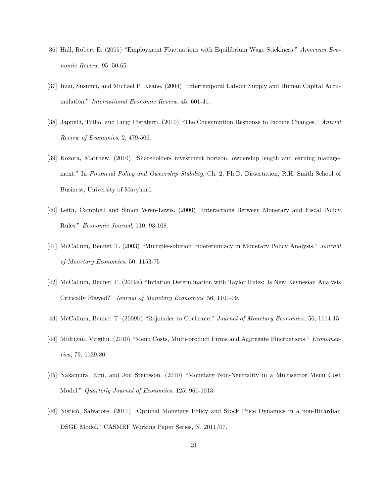- [36] Hall, Robert E. (2005) "Employment Fluctuations with Equilibrium Wage Stickiness." American Economic Review, 95, 50-65.
- [37] Imai, Susumu, and Michael P. Keane. (2004) "Intertemporal Labour Supply and Human Capital Accumulation." International Economic Review, 45, 601-41.
- [38] Jappelli, Tullio, and Luigi Pistaferri. (2010) "The Consumption Response to Income Changes." Annual Review of Economics, 2, 479-506.
- [39] Kozora, Matthew. (2010) "Shareholders investment horizon, ownership length and earning management." In Financial Policy and Ownership Stability, Ch. 2, Ph.D. Dissertation, R.H. Smith School of Business, University of Maryland.
- [40] Leith, Campbell and Simon Wren-Lewis. (2000) "Interactions Between Monetary and Fiscal Policy Rules." Economic Journal, 110, 93-108.
- [41] McCallum, Bennet T. (2003) "Multiple-solution Indeterminacy in Monetary Policy Analysis." Journal of Monetary Economics, 50, 1153-75
- [42] McCallum, Bennet T. (2009a) "Inflation Determination with Taylor Rules: Is New Keynesian Analysis Critically Flawed?" Journal of Monetary Economics, 56, 1101-09.
- [43] McCallum, Bennet T. (2009b) "Rejoinder to Cochrane." Journal of Monetary Economics, 56, 1114-15.
- [44] Midrigan, Virgiliu. (2010) "Menu Costs, Multi-product Firms and Aggregate Fluctuations." Econometrica, 79, 1139-80.
- [45] Nakamura, Emi, and Jón Steinsson. (2010) "Monetary Non-Neutrality in a Multisector Menu Cost Model." Quarterly Journal of Economics, 125, 961-1013.
- [46] Nisticò, Salvatore. (2011) "Optimal Monetary Policy and Stock Price Dynamics in a non-Ricardian DSGE Model." CASMEF Working Paper Series, N. 2011/07.